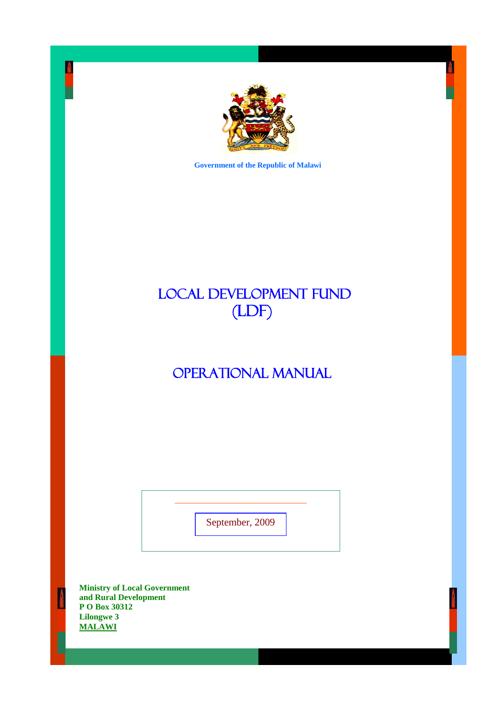

 **Government of the Republic of Malawi**

# LOCAL DEVELOPMENT FUND (LDF)

# OPERATIONAL MANUAL

September, 2009

\_\_\_\_\_\_\_\_\_\_\_\_\_\_\_\_\_\_\_\_\_\_\_\_\_\_

**Ministry of Local Government and Rural Development P O Box 30312 Lilongwe 3 MALAWI**

 $\Delta$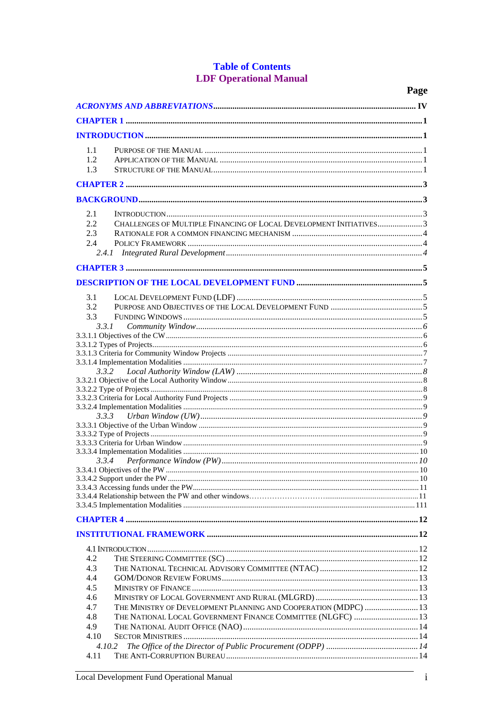# **Table of Contents LDF Operational Manual**

|            |                                                                    | Page |
|------------|--------------------------------------------------------------------|------|
|            |                                                                    |      |
|            |                                                                    |      |
|            |                                                                    |      |
| 1.1        |                                                                    |      |
| 1.2        |                                                                    |      |
| 1.3        |                                                                    |      |
|            |                                                                    |      |
|            |                                                                    |      |
|            |                                                                    |      |
| 2.1        |                                                                    |      |
| 2.2<br>2.3 | CHALLENGES OF MULTIPLE FINANCING OF LOCAL DEVELOPMENT INITIATIVES3 |      |
| 2.4        |                                                                    |      |
|            |                                                                    |      |
|            |                                                                    |      |
|            |                                                                    |      |
|            |                                                                    |      |
| 3.1        |                                                                    |      |
| 3.2<br>3.3 |                                                                    |      |
| 3.3.1      |                                                                    |      |
|            |                                                                    |      |
|            |                                                                    |      |
|            |                                                                    |      |
| 3.3.2      |                                                                    |      |
|            |                                                                    |      |
|            |                                                                    |      |
|            |                                                                    |      |
| 3.3.3      |                                                                    |      |
|            |                                                                    |      |
|            |                                                                    |      |
|            |                                                                    |      |
|            |                                                                    |      |
|            |                                                                    |      |
|            |                                                                    |      |
|            |                                                                    |      |
|            |                                                                    |      |
|            |                                                                    |      |
|            |                                                                    |      |
|            |                                                                    |      |
|            |                                                                    |      |
| 4.2        |                                                                    |      |
| 4.3<br>4.4 |                                                                    |      |
| 4.5        |                                                                    |      |
| 4.6        |                                                                    |      |
| 4.7        | THE MINISTRY OF DEVELOPMENT PLANNING AND COOPERATION (MDPC)  13    |      |
| 4.8        | THE NATIONAL LOCAL GOVERNMENT FINANCE COMMITTEE (NLGFC)  13        |      |
| 4.9        |                                                                    |      |
| 4.10       |                                                                    |      |
| 4.10.2     |                                                                    |      |
| 4.11       |                                                                    |      |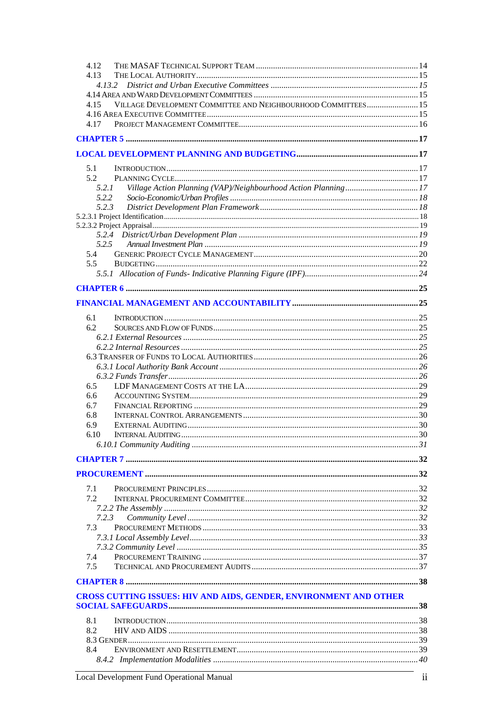| 4.13  |                                                                   |  |
|-------|-------------------------------------------------------------------|--|
|       |                                                                   |  |
|       |                                                                   |  |
| 4.15  | VILLAGE DEVELOPMENT COMMITTEE AND NEIGHBOURHOOD COMMITTEES 15     |  |
|       |                                                                   |  |
| 4.17  |                                                                   |  |
|       |                                                                   |  |
|       |                                                                   |  |
|       |                                                                   |  |
|       |                                                                   |  |
| 5.1   |                                                                   |  |
| 5.2   |                                                                   |  |
| 5.2.1 |                                                                   |  |
| 5.2.2 |                                                                   |  |
| 5.2.3 |                                                                   |  |
|       |                                                                   |  |
|       |                                                                   |  |
|       |                                                                   |  |
| 5.2.5 |                                                                   |  |
| 5.4   |                                                                   |  |
| 5.5   |                                                                   |  |
|       |                                                                   |  |
|       |                                                                   |  |
|       |                                                                   |  |
|       |                                                                   |  |
|       |                                                                   |  |
| 6.1   |                                                                   |  |
| 6.2   |                                                                   |  |
|       |                                                                   |  |
|       |                                                                   |  |
|       |                                                                   |  |
|       |                                                                   |  |
|       |                                                                   |  |
|       |                                                                   |  |
| 6.5   |                                                                   |  |
| 6.6   |                                                                   |  |
| 6.7   |                                                                   |  |
| 6.8   |                                                                   |  |
| 6.9   |                                                                   |  |
| 6.10  |                                                                   |  |
|       |                                                                   |  |
|       |                                                                   |  |
|       |                                                                   |  |
|       |                                                                   |  |
|       |                                                                   |  |
| 7.1   |                                                                   |  |
| 7.2.  |                                                                   |  |
|       |                                                                   |  |
| 7.2.3 |                                                                   |  |
| 7.3   |                                                                   |  |
|       |                                                                   |  |
|       |                                                                   |  |
| 7.4   |                                                                   |  |
| 7.5   |                                                                   |  |
|       |                                                                   |  |
|       |                                                                   |  |
|       | CROSS CUTTING ISSUES: HIV AND AIDS, GENDER, ENVIRONMENT AND OTHER |  |
|       |                                                                   |  |
|       |                                                                   |  |
| 8.1   |                                                                   |  |
| 8.2   |                                                                   |  |
|       |                                                                   |  |
| 8.4   |                                                                   |  |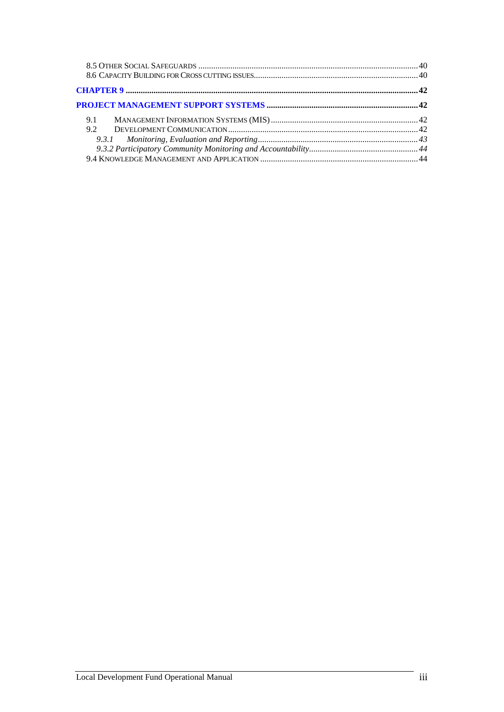| 9.1 |  |
|-----|--|
| 9.2 |  |
|     |  |
|     |  |
|     |  |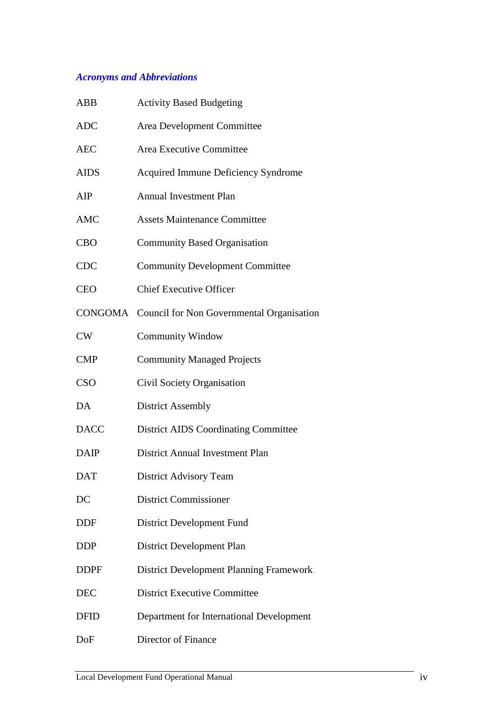# *Acronyms and Abbreviations*

| ABB         | <b>Activity Based Budgeting</b>                   |
|-------------|---------------------------------------------------|
| <b>ADC</b>  | Area Development Committee                        |
| <b>AEC</b>  | Area Executive Committee                          |
| <b>AIDS</b> | <b>Acquired Immune Deficiency Syndrome</b>        |
| AIP         | <b>Annual Investment Plan</b>                     |
| <b>AMC</b>  | <b>Assets Maintenance Committee</b>               |
| <b>CBO</b>  | <b>Community Based Organisation</b>               |
| <b>CDC</b>  | <b>Community Development Committee</b>            |
| <b>CEO</b>  | <b>Chief Executive Officer</b>                    |
|             | CONGOMA Council for Non Governmental Organisation |
| CW          | <b>Community Window</b>                           |
| <b>CMP</b>  | <b>Community Managed Projects</b>                 |
| <b>CSO</b>  | Civil Society Organisation                        |
| DA          | <b>District Assembly</b>                          |
| <b>DACC</b> | <b>District AIDS Coordinating Committee</b>       |
| <b>DAIP</b> | <b>District Annual Investment Plan</b>            |
| <b>DAT</b>  | <b>District Advisory Team</b>                     |
| DC          | <b>District Commissioner</b>                      |
| DDF         | District Development Fund                         |
| <b>DDP</b>  | District Development Plan                         |
| <b>DDPF</b> | <b>District Development Planning Framework</b>    |
| <b>DEC</b>  | <b>District Executive Committee</b>               |
| <b>DFID</b> | Department for International Development          |
| DoF         | Director of Finance                               |
|             |                                                   |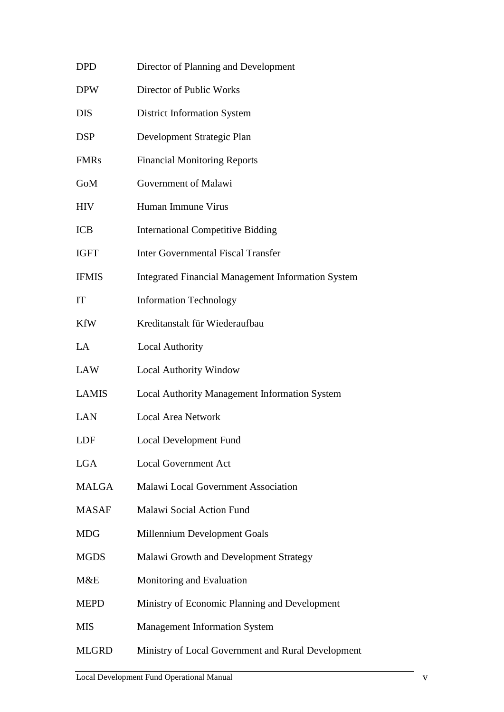| DPD          | Director of Planning and Development                      |
|--------------|-----------------------------------------------------------|
| <b>DPW</b>   | Director of Public Works                                  |
| DIS          | <b>District Information System</b>                        |
| DSP          | Development Strategic Plan                                |
| <b>FMRs</b>  | <b>Financial Monitoring Reports</b>                       |
| GoM          | Government of Malawi                                      |
| HIV          | Human Immune Virus                                        |
| <b>ICB</b>   | <b>International Competitive Bidding</b>                  |
| IGFT         | <b>Inter Governmental Fiscal Transfer</b>                 |
| <b>IFMIS</b> | <b>Integrated Financial Management Information System</b> |
| IT           | <b>Information Technology</b>                             |
| KfW          | Kreditanstalt für Wiederaufbau                            |
| LA           | <b>Local Authority</b>                                    |
| LAW          | <b>Local Authority Window</b>                             |
| LAMIS        | Local Authority Management Information System             |
| LAN          | <b>Local Area Network</b>                                 |
| LDF          | Local Development Fund                                    |
| LGA          | <b>Local Government Act</b>                               |
| MALGA        | Malawi Local Government Association                       |
| <b>MASAF</b> | Malawi Social Action Fund                                 |
| MDG          | Millennium Development Goals                              |
| <b>MGDS</b>  | Malawi Growth and Development Strategy                    |
| M&E          | Monitoring and Evaluation                                 |
| MEPD         | Ministry of Economic Planning and Development             |
| MIS          | <b>Management Information System</b>                      |
| MLGRD        | Ministry of Local Government and Rural Development        |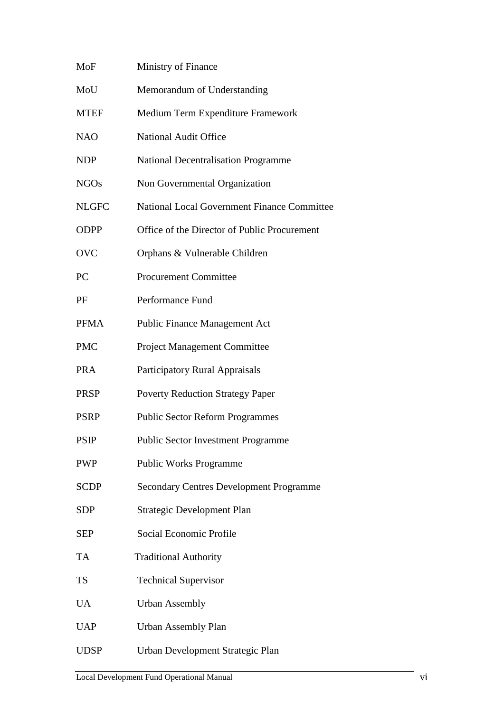| MoF          | Ministry of Finance                                |
|--------------|----------------------------------------------------|
| MoU          | Memorandum of Understanding                        |
| <b>MTEF</b>  | Medium Term Expenditure Framework                  |
| <b>NAO</b>   | <b>National Audit Office</b>                       |
| NDP          | <b>National Decentralisation Programme</b>         |
| <b>NGOs</b>  | Non Governmental Organization                      |
| <b>NLGFC</b> | <b>National Local Government Finance Committee</b> |
| <b>ODPP</b>  | Office of the Director of Public Procurement       |
| <b>OVC</b>   | Orphans & Vulnerable Children                      |
| PC           | <b>Procurement Committee</b>                       |
| PF           | Performance Fund                                   |
| <b>PFMA</b>  | <b>Public Finance Management Act</b>               |
| <b>PMC</b>   | <b>Project Management Committee</b>                |
| <b>PRA</b>   | <b>Participatory Rural Appraisals</b>              |
| PRSP         | <b>Poverty Reduction Strategy Paper</b>            |
| <b>PSRP</b>  | <b>Public Sector Reform Programmes</b>             |
| PSIP         | <b>Public Sector Investment Programme</b>          |
| <b>PWP</b>   | <b>Public Works Programme</b>                      |
| <b>SCDP</b>  | <b>Secondary Centres Development Programme</b>     |
| <b>SDP</b>   | <b>Strategic Development Plan</b>                  |
| SEP          | Social Economic Profile                            |
| TA           | <b>Traditional Authority</b>                       |
| TS           | <b>Technical Supervisor</b>                        |
| UA           | <b>Urban Assembly</b>                              |
| <b>UAP</b>   | <b>Urban Assembly Plan</b>                         |
| <b>UDSP</b>  | Urban Development Strategic Plan                   |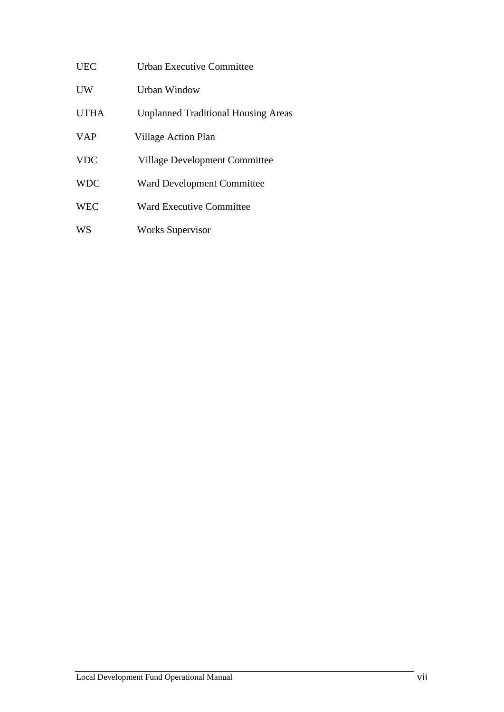| <b>UEC</b>  | Urban Executive Committee                  |
|-------------|--------------------------------------------|
| <b>UW</b>   | <b>Urban Window</b>                        |
| <b>UTHA</b> | <b>Unplanned Traditional Housing Areas</b> |
| <b>VAP</b>  | Village Action Plan                        |
| <b>VDC</b>  | <b>Village Development Committee</b>       |
| <b>WDC</b>  | <b>Ward Development Committee</b>          |
| <b>WEC</b>  | <b>Ward Executive Committee</b>            |
| WS          | <b>Works Supervisor</b>                    |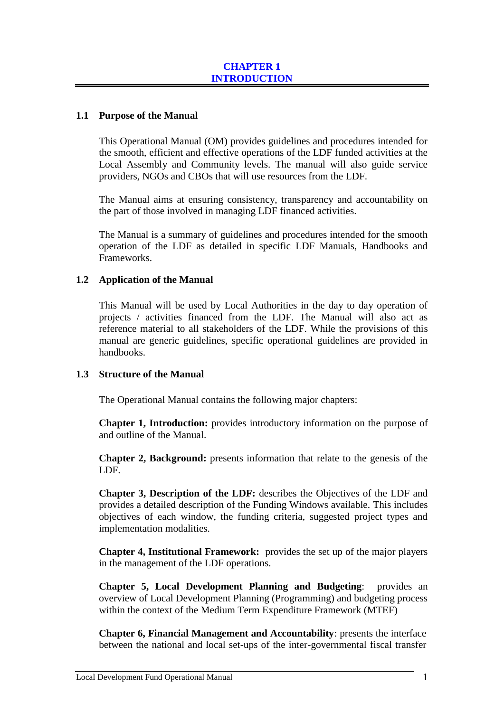# **1.1 Purpose of the Manual**

This Operational Manual (OM) provides guidelines and procedures intended for the smooth, efficient and effective operations of the LDF funded activities at the Local Assembly and Community levels. The manual will also guide service providers, NGOs and CBOs that will use resources from the LDF.

The Manual aims at ensuring consistency, transparency and accountability on the part of those involved in managing LDF financed activities.

The Manual is a summary of guidelines and procedures intended for the smooth operation of the LDF as detailed in specific LDF Manuals, Handbooks and Frameworks.

# **1.2 Application of the Manual**

This Manual will be used by Local Authorities in the day to day operation of projects / activities financed from the LDF. The Manual will also act as reference material to all stakeholders of the LDF. While the provisions of this manual are generic guidelines, specific operational guidelines are provided in handbooks.

#### **1.3 Structure of the Manual**

The Operational Manual contains the following major chapters:

**Chapter 1, Introduction:** provides introductory information on the purpose of and outline of the Manual.

**Chapter 2, Background:** presents information that relate to the genesis of the LDF.

**Chapter 3, Description of the LDF:** describes the Objectives of the LDF and provides a detailed description of the Funding Windows available. This includes objectives of each window, the funding criteria, suggested project types and implementation modalities.

**Chapter 4, Institutional Framework:** provides the set up of the major players in the management of the LDF operations.

**Chapter 5, Local Development Planning and Budgeting**: provides an overview of Local Development Planning (Programming) and budgeting process within the context of the Medium Term Expenditure Framework (MTEF)

**Chapter 6, Financial Management and Accountability**: presents the interface between the national and local set-ups of the inter-governmental fiscal transfer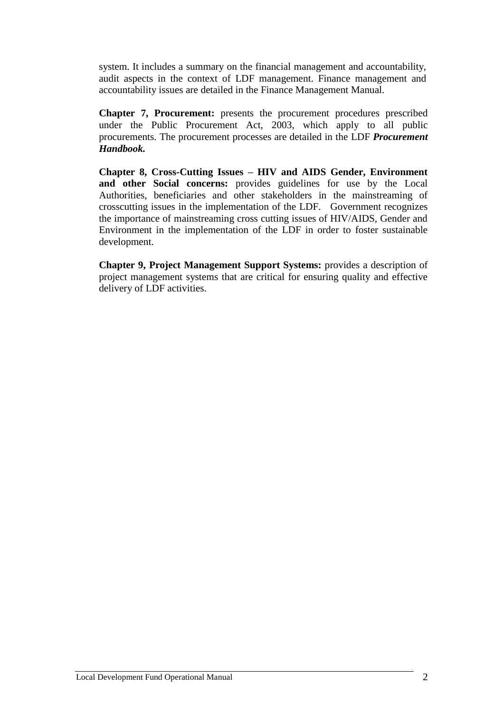system. It includes a summary on the financial management and accountability, audit aspects in the context of LDF management. Finance management and accountability issues are detailed in the Finance Management Manual.

**Chapter 7, Procurement:** presents the procurement procedures prescribed under the Public Procurement Act, 2003, which apply to all public procurements. The procurement processes are detailed in the LDF *Procurement Handbook.*

**Chapter 8, Cross-Cutting Issues – HIV and AIDS Gender, Environment and other Social concerns:** provides guidelines for use by the Local Authorities, beneficiaries and other stakeholders in the mainstreaming of crosscutting issues in the implementation of the LDF. Government recognizes the importance of mainstreaming cross cutting issues of HIV/AIDS, Gender and Environment in the implementation of the LDF in order to foster sustainable development.

**Chapter 9, Project Management Support Systems:** provides a description of project management systems that are critical for ensuring quality and effective delivery of LDF activities.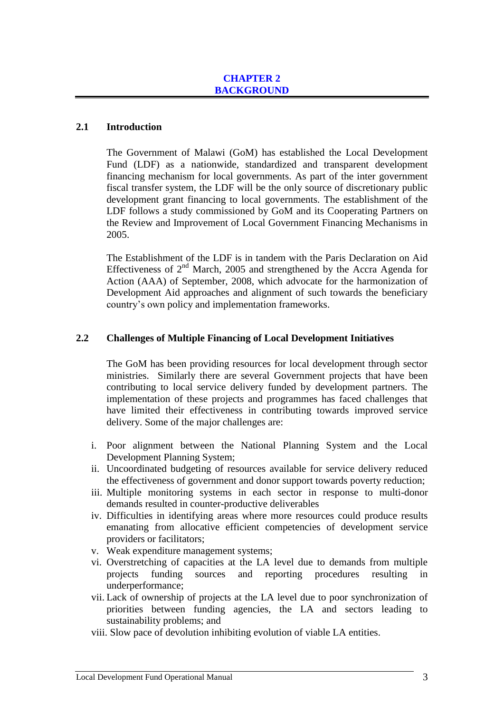#### **2.1 Introduction**

The Government of Malawi (GoM) has established the Local Development Fund (LDF) as a nationwide, standardized and transparent development financing mechanism for local governments. As part of the inter government fiscal transfer system, the LDF will be the only source of discretionary public development grant financing to local governments. The establishment of the LDF follows a study commissioned by GoM and its Cooperating Partners on the Review and Improvement of Local Government Financing Mechanisms in 2005.

The Establishment of the LDF is in tandem with the Paris Declaration on Aid Effectiveness of  $2<sup>nd</sup>$  March, 2005 and strengthened by the Accra Agenda for Action (AAA) of September, 2008, which advocate for the harmonization of Development Aid approaches and alignment of such towards the beneficiary country's own policy and implementation frameworks.

# **2.2 Challenges of Multiple Financing of Local Development Initiatives**

The GoM has been providing resources for local development through sector ministries. Similarly there are several Government projects that have been contributing to local service delivery funded by development partners. The implementation of these projects and programmes has faced challenges that have limited their effectiveness in contributing towards improved service delivery. Some of the major challenges are:

- i. Poor alignment between the National Planning System and the Local Development Planning System;
- ii. Uncoordinated budgeting of resources available for service delivery reduced the effectiveness of government and donor support towards poverty reduction;
- iii. Multiple monitoring systems in each sector in response to multi-donor demands resulted in counter-productive deliverables
- iv. Difficulties in identifying areas where more resources could produce results emanating from allocative efficient competencies of development service providers or facilitators;
- v. Weak expenditure management systems;
- vi. Overstretching of capacities at the LA level due to demands from multiple projects funding sources and reporting procedures resulting in underperformance;
- vii. Lack of ownership of projects at the LA level due to poor synchronization of priorities between funding agencies, the LA and sectors leading to sustainability problems; and
- viii. Slow pace of devolution inhibiting evolution of viable LA entities.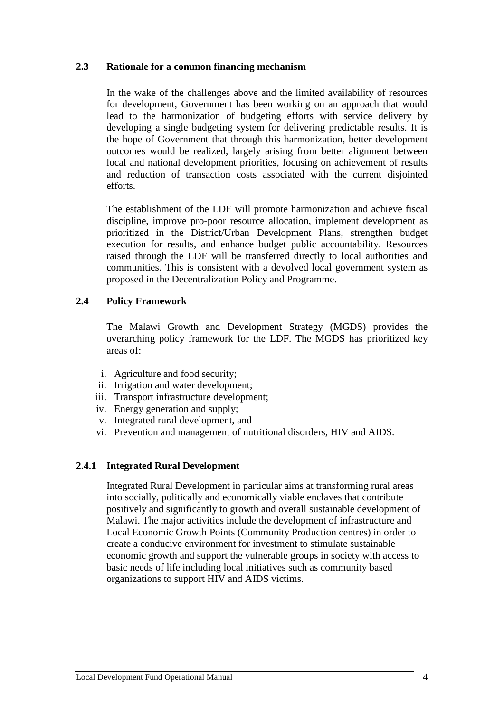#### **2.3 Rationale for a common financing mechanism**

In the wake of the challenges above and the limited availability of resources for development, Government has been working on an approach that would lead to the harmonization of budgeting efforts with service delivery by developing a single budgeting system for delivering predictable results. It is the hope of Government that through this harmonization, better development outcomes would be realized, largely arising from better alignment between local and national development priorities, focusing on achievement of results and reduction of transaction costs associated with the current disjointed efforts.

The establishment of the LDF will promote harmonization and achieve fiscal discipline, improve pro-poor resource allocation, implement development as prioritized in the District/Urban Development Plans, strengthen budget execution for results, and enhance budget public accountability. Resources raised through the LDF will be transferred directly to local authorities and communities. This is consistent with a devolved local government system as proposed in the Decentralization Policy and Programme.

# **2.4 Policy Framework**

The Malawi Growth and Development Strategy (MGDS) provides the overarching policy framework for the LDF. The MGDS has prioritized key areas of:

- i. Agriculture and food security;
- ii. Irrigation and water development;
- iii. Transport infrastructure development;
- iv. Energy generation and supply;
- v. Integrated rural development, and
- vi. Prevention and management of nutritional disorders, HIV and AIDS.

# **2.4.1 Integrated Rural Development**

Integrated Rural Development in particular aims at transforming rural areas into socially, politically and economically viable enclaves that contribute positively and significantly to growth and overall sustainable development of Malawi. The major activities include the development of infrastructure and Local Economic Growth Points (Community Production centres) in order to create a conducive environment for investment to stimulate sustainable economic growth and support the vulnerable groups in society with access to basic needs of life including local initiatives such as community based organizations to support HIV and AIDS victims.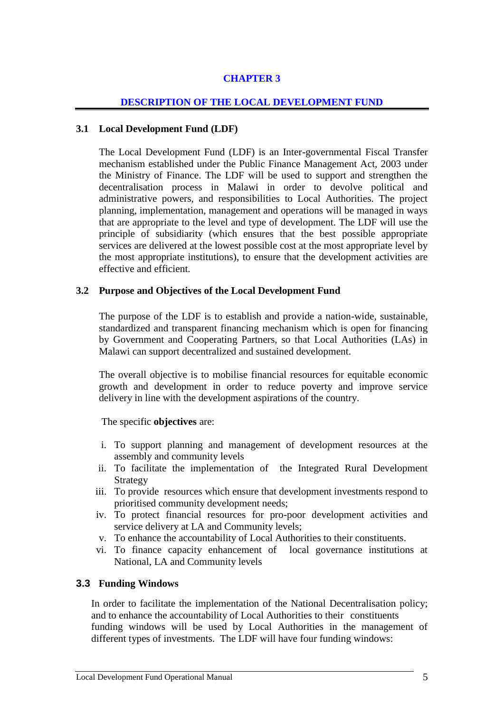# **CHAPTER 3**

# **DESCRIPTION OF THE LOCAL DEVELOPMENT FUND**

# **3.1 Local Development Fund (LDF)**

The Local Development Fund (LDF) is an Inter-governmental Fiscal Transfer mechanism established under the Public Finance Management Act, 2003 under the Ministry of Finance. The LDF will be used to support and strengthen the decentralisation process in Malawi in order to devolve political and administrative powers, and responsibilities to Local Authorities. The project planning, implementation, management and operations will be managed in ways that are appropriate to the level and type of development. The LDF will use the principle of subsidiarity (which ensures that the best possible appropriate services are delivered at the lowest possible cost at the most appropriate level by the most appropriate institutions), to ensure that the development activities are effective and efficient.

# **3.2 Purpose and Objectives of the Local Development Fund**

The purpose of the LDF is to establish and provide a nation-wide, sustainable, standardized and transparent financing mechanism which is open for financing by Government and Cooperating Partners, so that Local Authorities (LAs) in Malawi can support decentralized and sustained development.

The overall objective is to mobilise financial resources for equitable economic growth and development in order to reduce poverty and improve service delivery in line with the development aspirations of the country.

The specific **objectives** are:

- i. To support planning and management of development resources at the assembly and community levels
- ii. To facilitate the implementation of the Integrated Rural Development Strategy
- iii. To provide resources which ensure that development investments respond to prioritised community development needs;
- iv. To protect financial resources for pro-poor development activities and service delivery at LA and Community levels:
- v. To enhance the accountability of Local Authorities to their constituents.
- vi. To finance capacity enhancement of local governance institutions at National, LA and Community levels

# **3.3 Funding Windows**

In order to facilitate the implementation of the National Decentralisation policy; and to enhance the accountability of Local Authorities to their constituents funding windows will be used by Local Authorities in the management of different types of investments. The LDF will have four funding windows: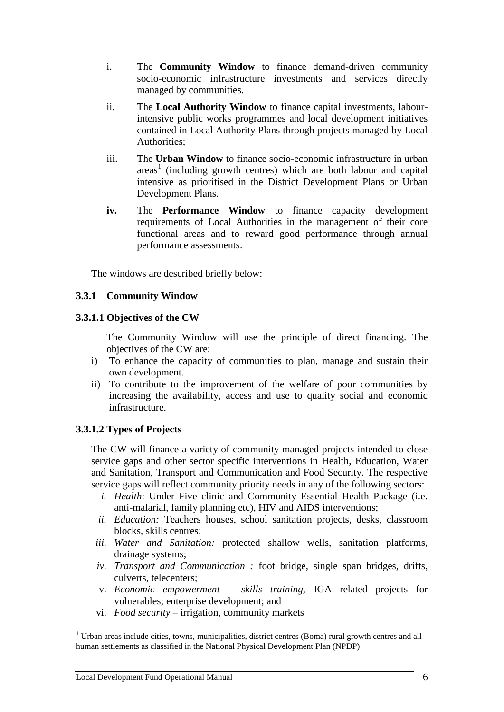- i. The **Community Window** to finance demand-driven community socio-economic infrastructure investments and services directly managed by communities.
- ii. The **Local Authority Window** to finance capital investments, labourintensive public works programmes and local development initiatives contained in Local Authority Plans through projects managed by Local Authorities;
- iii. The **Urban Window** to finance socio-economic infrastructure in urban areas 1 (including growth centres) which are both labour and capital intensive as prioritised in the District Development Plans or Urban Development Plans.
- **iv.** The **Performance Window** to finance capacity development requirements of Local Authorities in the management of their core functional areas and to reward good performance through annual performance assessments.

The windows are described briefly below:

# **3.3.1 Community Window**

#### **3.3.1.1 Objectives of the CW**

The Community Window will use the principle of direct financing. The objectives of the CW are:

- i) To enhance the capacity of communities to plan, manage and sustain their own development.
- ii) To contribute to the improvement of the welfare of poor communities by increasing the availability, access and use to quality social and economic infrastructure.

# **3.3.1.2 Types of Projects**

The CW will finance a variety of community managed projects intended to close service gaps and other sector specific interventions in Health, Education, Water and Sanitation, Transport and Communication and Food Security. The respective service gaps will reflect community priority needs in any of the following sectors:

- *i. Health*: Under Five clinic and Community Essential Health Package (i.e. anti-malarial, family planning etc), HIV and AIDS interventions;
- *ii. Education:* Teachers houses, school sanitation projects, desks, classroom blocks, skills centres;
- *iii. Water and Sanitation:* protected shallow wells, sanitation platforms, drainage systems;
- *iv. Transport and Communication :* foot bridge, single span bridges, drifts, culverts, telecenters;
- v. *Economic empowerment – skills training,* IGA related projects for vulnerables; enterprise development; and
- vi. *Food security –* irrigation, community markets

 $\overline{a}$  $1$  Urban areas include cities, towns, municipalities, district centres (Boma) rural growth centres and all human settlements as classified in the National Physical Development Plan (NPDP)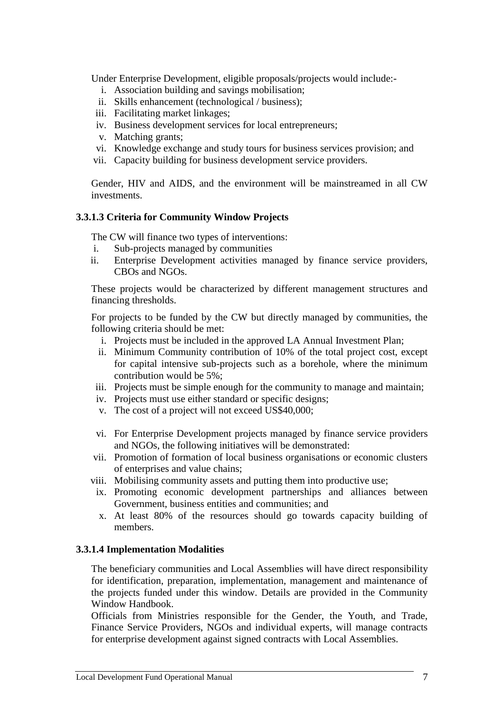Under Enterprise Development, eligible proposals/projects would include:-

- i. Association building and savings mobilisation;
- ii. Skills enhancement (technological / business);
- iii. Facilitating market linkages;
- iv. Business development services for local entrepreneurs;
- v. Matching grants;
- vi. Knowledge exchange and study tours for business services provision; and
- vii. Capacity building for business development service providers.

Gender, HIV and AIDS, and the environment will be mainstreamed in all CW investments.

#### **3.3.1.3 Criteria for Community Window Projects**

The CW will finance two types of interventions:

- i. Sub-projects managed by communities
- ii. Enterprise Development activities managed by finance service providers, CBOs and NGOs.

These projects would be characterized by different management structures and financing thresholds.

For projects to be funded by the CW but directly managed by communities, the following criteria should be met:

- i. Projects must be included in the approved LA Annual Investment Plan;
- ii. Minimum Community contribution of 10% of the total project cost, except for capital intensive sub-projects such as a borehole, where the minimum contribution would be 5%;
- iii. Projects must be simple enough for the community to manage and maintain;
- iv. Projects must use either standard or specific designs;
- v. The cost of a project will not exceed US\$40,000;
- vi. For Enterprise Development projects managed by finance service providers and NGOs, the following initiatives will be demonstrated:
- vii. Promotion of formation of local business organisations or economic clusters of enterprises and value chains;
- viii. Mobilising community assets and putting them into productive use;
- ix. Promoting economic development partnerships and alliances between Government, business entities and communities; and
- x. At least 80% of the resources should go towards capacity building of members.

#### **3.3.1.4 Implementation Modalities**

The beneficiary communities and Local Assemblies will have direct responsibility for identification, preparation, implementation, management and maintenance of the projects funded under this window. Details are provided in the Community Window Handbook.

Officials from Ministries responsible for the Gender, the Youth, and Trade, Finance Service Providers, NGOs and individual experts, will manage contracts for enterprise development against signed contracts with Local Assemblies.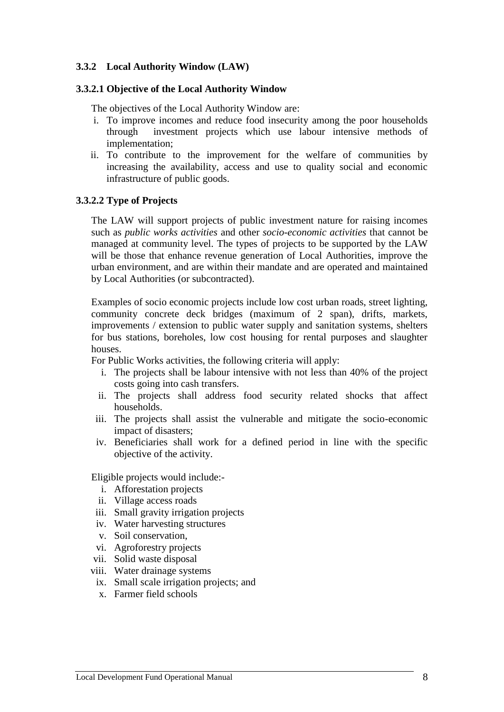#### **3.3.2 Local Authority Window (LAW)**

#### **3.3.2.1 Objective of the Local Authority Window**

The objectives of the Local Authority Window are:

- i. To improve incomes and reduce food insecurity among the poor households through investment projects which use labour intensive methods of implementation;
- ii. To contribute to the improvement for the welfare of communities by increasing the availability, access and use to quality social and economic infrastructure of public goods.

#### **3.3.2.2 Type of Projects**

The LAW will support projects of public investment nature for raising incomes such as *public works activities* and other *socio-economic activities* that cannot be managed at community level. The types of projects to be supported by the LAW will be those that enhance revenue generation of Local Authorities, improve the urban environment, and are within their mandate and are operated and maintained by Local Authorities (or subcontracted).

Examples of socio economic projects include low cost urban roads, street lighting, community concrete deck bridges (maximum of 2 span), drifts, markets, improvements / extension to public water supply and sanitation systems, shelters for bus stations, boreholes, low cost housing for rental purposes and slaughter houses.

For Public Works activities, the following criteria will apply:

- i. The projects shall be labour intensive with not less than 40% of the project costs going into cash transfers.
- ii. The projects shall address food security related shocks that affect households.
- iii. The projects shall assist the vulnerable and mitigate the socio-economic impact of disasters;
- iv. Beneficiaries shall work for a defined period in line with the specific objective of the activity.

Eligible projects would include:-

- i. Afforestation projects
- ii. Village access roads
- iii. Small gravity irrigation projects
- iv. Water harvesting structures
- v. Soil conservation,
- vi. Agroforestry projects
- vii. Solid waste disposal
- viii. Water drainage systems
	- ix. Small scale irrigation projects; and
	- x. Farmer field schools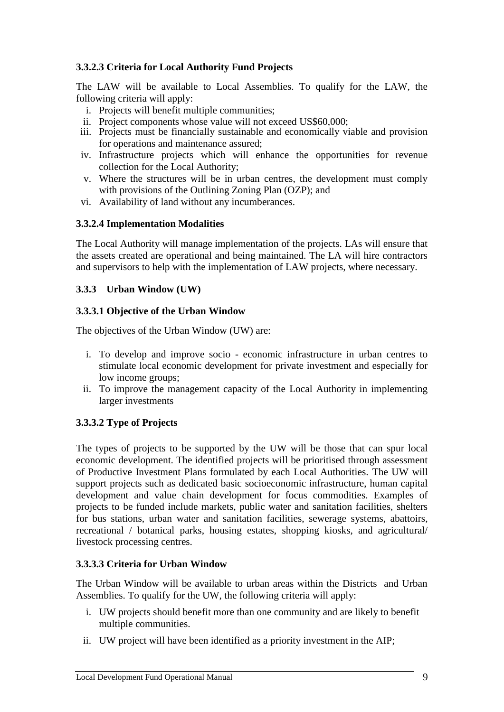# **3.3.2.3 Criteria for Local Authority Fund Projects**

The LAW will be available to Local Assemblies. To qualify for the LAW, the following criteria will apply:

- i. Projects will benefit multiple communities;
- ii. Project components whose value will not exceed US\$60,000;
- iii. Projects must be financially sustainable and economically viable and provision for operations and maintenance assured;
- iv. Infrastructure projects which will enhance the opportunities for revenue collection for the Local Authority;
- v. Where the structures will be in urban centres, the development must comply with provisions of the Outlining Zoning Plan (OZP); and
- vi. Availability of land without any incumberances.

# **3.3.2.4 Implementation Modalities**

The Local Authority will manage implementation of the projects. LAs will ensure that the assets created are operational and being maintained. The LA will hire contractors and supervisors to help with the implementation of LAW projects, where necessary.

#### **3.3.3 Urban Window (UW)**

#### **3.3.3.1 Objective of the Urban Window**

The objectives of the Urban Window (UW) are:

- i. To develop and improve socio economic infrastructure in urban centres to stimulate local economic development for private investment and especially for low income groups;
- ii. To improve the management capacity of the Local Authority in implementing larger investments

# **3.3.3.2 Type of Projects**

The types of projects to be supported by the UW will be those that can spur local economic development. The identified projects will be prioritised through assessment of Productive Investment Plans formulated by each Local Authorities. The UW will support projects such as dedicated basic socioeconomic infrastructure, human capital development and value chain development for focus commodities. Examples of projects to be funded include markets, public water and sanitation facilities, shelters for bus stations, urban water and sanitation facilities, sewerage systems, abattoirs, recreational / botanical parks, housing estates, shopping kiosks, and agricultural/ livestock processing centres.

# **3.3.3.3 Criteria for Urban Window**

The Urban Window will be available to urban areas within the Districts and Urban Assemblies. To qualify for the UW, the following criteria will apply:

- i. UW projects should benefit more than one community and are likely to benefit multiple communities.
- ii. UW project will have been identified as a priority investment in the AIP;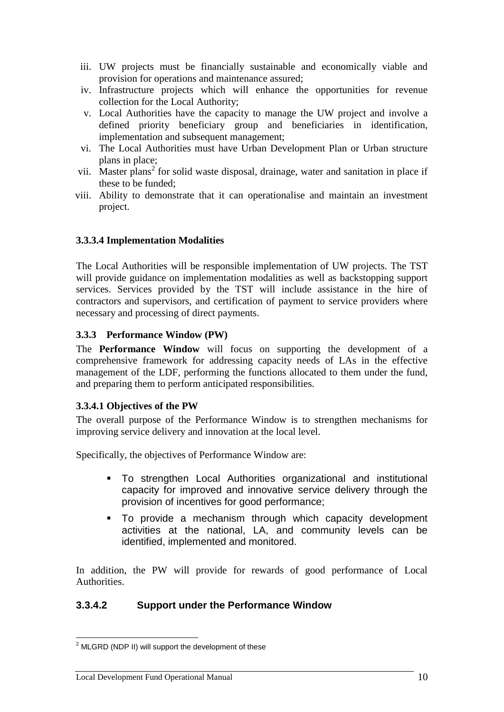- iii. UW projects must be financially sustainable and economically viable and provision for operations and maintenance assured;
- iv. Infrastructure projects which will enhance the opportunities for revenue collection for the Local Authority;
- v. Local Authorities have the capacity to manage the UW project and involve a defined priority beneficiary group and beneficiaries in identification, implementation and subsequent management;
- vi. The Local Authorities must have Urban Development Plan or Urban structure plans in place;
- vii. Master plans<sup>2</sup> for solid waste disposal, drainage, water and sanitation in place if these to be funded;
- viii. Ability to demonstrate that it can operationalise and maintain an investment project.

# **3.3.3.4 Implementation Modalities**

The Local Authorities will be responsible implementation of UW projects. The TST will provide guidance on implementation modalities as well as backstopping support services. Services provided by the TST will include assistance in the hire of contractors and supervisors, and certification of payment to service providers where necessary and processing of direct payments.

# **3.3.3 Performance Window (PW)**

The **Performance Window** will focus on supporting the development of a comprehensive framework for addressing capacity needs of LAs in the effective management of the LDF, performing the functions allocated to them under the fund, and preparing them to perform anticipated responsibilities.

# **3.3.4.1 Objectives of the PW**

The overall purpose of the Performance Window is to strengthen mechanisms for improving service delivery and innovation at the local level.

Specifically, the objectives of Performance Window are:

- To strengthen Local Authorities organizational and institutional capacity for improved and innovative service delivery through the provision of incentives for good performance;
- To provide a mechanism through which capacity development activities at the national, LA, and community levels can be identified, implemented and monitored.

In addition, the PW will provide for rewards of good performance of Local Authorities.

# **3.3.4.2 Support under the Performance Window**

 $\overline{a}$ 

 $2$  MLGRD (NDP II) will support the development of these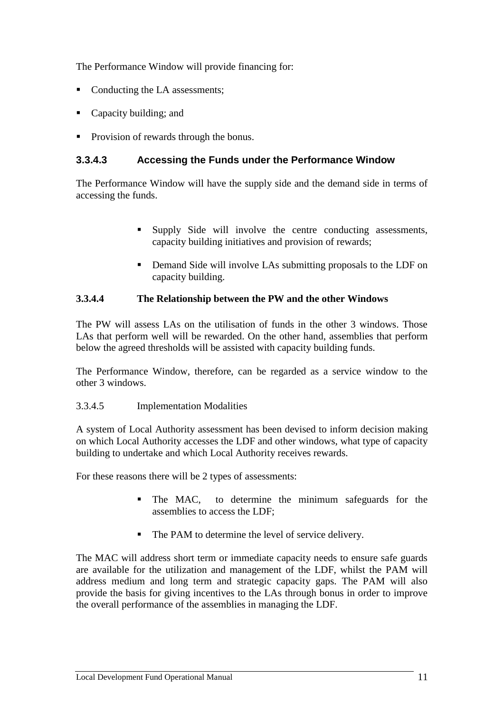The Performance Window will provide financing for:

- Conducting the LA assessments:
- Capacity building; and
- Provision of rewards through the bonus.

# **3.3.4.3 Accessing the Funds under the Performance Window**

The Performance Window will have the supply side and the demand side in terms of accessing the funds.

- Supply Side will involve the centre conducting assessments, capacity building initiatives and provision of rewards;
- Demand Side will involve LAs submitting proposals to the LDF on capacity building.

#### **3.3.4.4 The Relationship between the PW and the other Windows**

The PW will assess LAs on the utilisation of funds in the other 3 windows. Those LAs that perform well will be rewarded. On the other hand, assemblies that perform below the agreed thresholds will be assisted with capacity building funds.

The Performance Window, therefore, can be regarded as a service window to the other 3 windows.

#### 3.3.4.5 Implementation Modalities

A system of Local Authority assessment has been devised to inform decision making on which Local Authority accesses the LDF and other windows, what type of capacity building to undertake and which Local Authority receives rewards.

For these reasons there will be 2 types of assessments:

- The MAC, to determine the minimum safeguards for the assemblies to access the LDF;
- The PAM to determine the level of service delivery.

The MAC will address short term or immediate capacity needs to ensure safe guards are available for the utilization and management of the LDF, whilst the PAM will address medium and long term and strategic capacity gaps. The PAM will also provide the basis for giving incentives to the LAs through bonus in order to improve the overall performance of the assemblies in managing the LDF.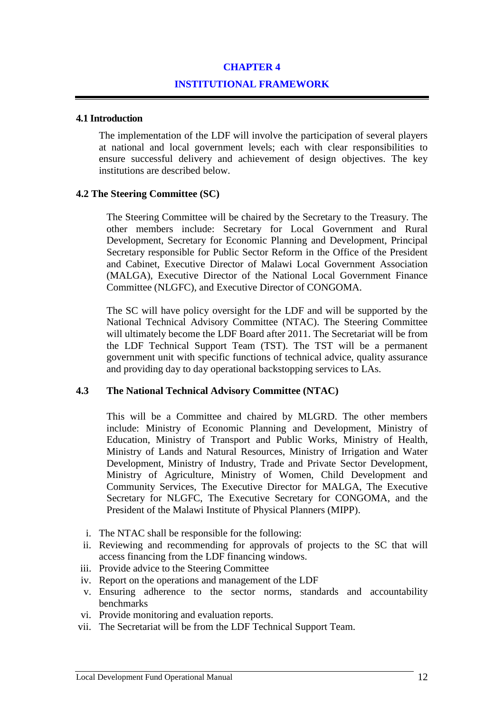#### **CHAPTER 4**

#### **INSTITUTIONAL FRAMEWORK**

#### **4.1 Introduction**

The implementation of the LDF will involve the participation of several players at national and local government levels; each with clear responsibilities to ensure successful delivery and achievement of design objectives. The key institutions are described below.

#### **4.2 The Steering Committee (SC)**

The Steering Committee will be chaired by the Secretary to the Treasury. The other members include: Secretary for Local Government and Rural Development, Secretary for Economic Planning and Development, Principal Secretary responsible for Public Sector Reform in the Office of the President and Cabinet, Executive Director of Malawi Local Government Association (MALGA), Executive Director of the National Local Government Finance Committee (NLGFC), and Executive Director of CONGOMA.

The SC will have policy oversight for the LDF and will be supported by the National Technical Advisory Committee (NTAC). The Steering Committee will ultimately become the LDF Board after 2011. The Secretariat will be from the LDF Technical Support Team (TST). The TST will be a permanent government unit with specific functions of technical advice, quality assurance and providing day to day operational backstopping services to LAs.

#### **4.3 The National Technical Advisory Committee (NTAC)**

This will be a Committee and chaired by MLGRD. The other members include: Ministry of Economic Planning and Development, Ministry of Education, Ministry of Transport and Public Works, Ministry of Health, Ministry of Lands and Natural Resources, Ministry of Irrigation and Water Development, Ministry of Industry, Trade and Private Sector Development, Ministry of Agriculture, Ministry of Women, Child Development and Community Services, The Executive Director for MALGA, The Executive Secretary for NLGFC, The Executive Secretary for CONGOMA, and the President of the Malawi Institute of Physical Planners (MIPP).

- i. The NTAC shall be responsible for the following:
- ii. Reviewing and recommending for approvals of projects to the SC that will access financing from the LDF financing windows.
- iii. Provide advice to the Steering Committee
- iv. Report on the operations and management of the LDF
- v. Ensuring adherence to the sector norms, standards and accountability benchmarks
- vi. Provide monitoring and evaluation reports.
- vii. The Secretariat will be from the LDF Technical Support Team.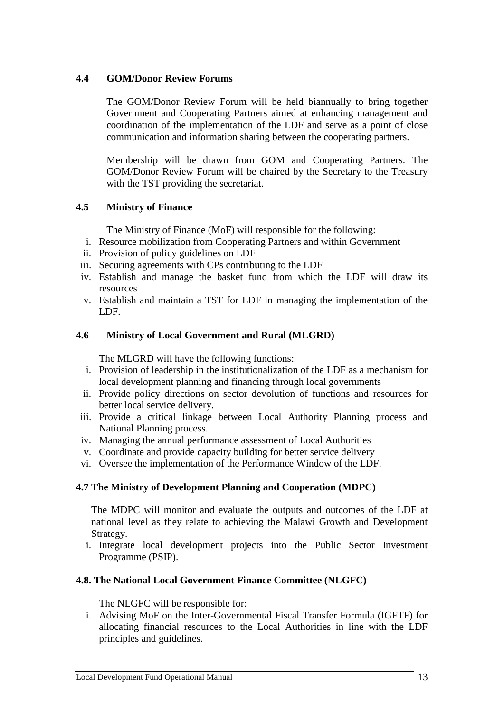# **4.4 GOM/Donor Review Forums**

The GOM/Donor Review Forum will be held biannually to bring together Government and Cooperating Partners aimed at enhancing management and coordination of the implementation of the LDF and serve as a point of close communication and information sharing between the cooperating partners.

Membership will be drawn from GOM and Cooperating Partners. The GOM/Donor Review Forum will be chaired by the Secretary to the Treasury with the TST providing the secretariat.

# **4.5 Ministry of Finance**

The Ministry of Finance (MoF) will responsible for the following:

- i. Resource mobilization from Cooperating Partners and within Government
- ii. Provision of policy guidelines on LDF
- iii. Securing agreements with CPs contributing to the LDF
- iv. Establish and manage the basket fund from which the LDF will draw its resources
- v. Establish and maintain a TST for LDF in managing the implementation of the LDF.

# **4.6 Ministry of Local Government and Rural (MLGRD)**

The MLGRD will have the following functions:

- i. Provision of leadership in the institutionalization of the LDF as a mechanism for local development planning and financing through local governments
- ii. Provide policy directions on sector devolution of functions and resources for better local service delivery.
- iii. Provide a critical linkage between Local Authority Planning process and National Planning process.
- iv. Managing the annual performance assessment of Local Authorities
- v. Coordinate and provide capacity building for better service delivery
- vi. Oversee the implementation of the Performance Window of the LDF.

# **4.7 The Ministry of Development Planning and Cooperation (MDPC)**

The MDPC will monitor and evaluate the outputs and outcomes of the LDF at national level as they relate to achieving the Malawi Growth and Development Strategy.

i. Integrate local development projects into the Public Sector Investment Programme (PSIP).

# **4.8. The National Local Government Finance Committee (NLGFC)**

The NLGFC will be responsible for:

i. Advising MoF on the Inter-Governmental Fiscal Transfer Formula (IGFTF) for allocating financial resources to the Local Authorities in line with the LDF principles and guidelines.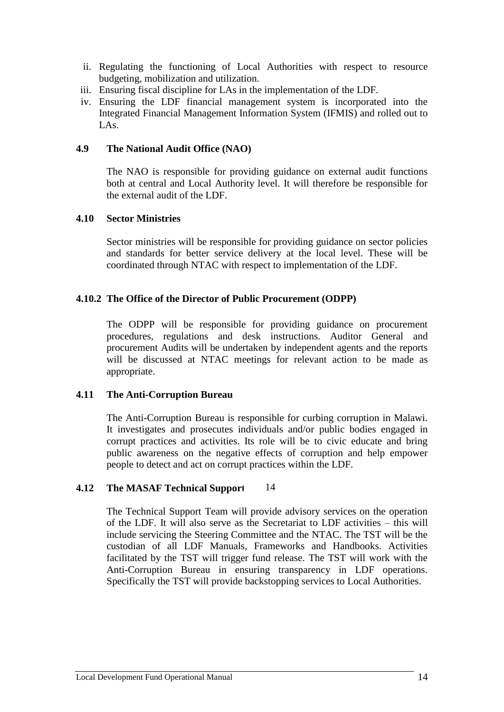- ii. Regulating the functioning of Local Authorities with respect to resource budgeting, mobilization and utilization.
- iii. Ensuring fiscal discipline for LAs in the implementation of the LDF.
- iv. Ensuring the LDF financial management system is incorporated into the Integrated Financial Management Information System (IFMIS) and rolled out to LAs.

#### **4.9 The National Audit Office (NAO)**

The NAO is responsible for providing guidance on external audit functions both at central and Local Authority level. It will therefore be responsible for the external audit of the LDF.

#### **4.10 Sector Ministries**

Sector ministries will be responsible for providing guidance on sector policies and standards for better service delivery at the local level. These will be coordinated through NTAC with respect to implementation of the LDF.

#### **4.10.2 The Office of the Director of Public Procurement (ODPP)**

The ODPP will be responsible for providing guidance on procurement procedures, regulations and desk instructions. Auditor General and procurement Audits will be undertaken by independent agents and the reports will be discussed at NTAC meetings for relevant action to be made as appropriate.

# **4.11 The Anti-Corruption Bureau**

The Anti-Corruption Bureau is responsible for curbing corruption in Malawi. It investigates and prosecutes individuals and/or public bodies engaged in corrupt practices and activities. Its role will be to civic educate and bring public awareness on the negative effects of corruption and help empower people to detect and act on corrupt practices within the LDF.

#### **4.12** The MASAF Technical Support 14

The Technical Support Team will provide advisory services on the operation of the LDF. It will also serve as the Secretariat to LDF activities – this will include servicing the Steering Committee and the NTAC. The TST will be the custodian of all LDF Manuals, Frameworks and Handbooks. Activities facilitated by the TST will trigger fund release. The TST will work with the Anti-Corruption Bureau in ensuring transparency in LDF operations. Specifically the TST will provide backstopping services to Local Authorities.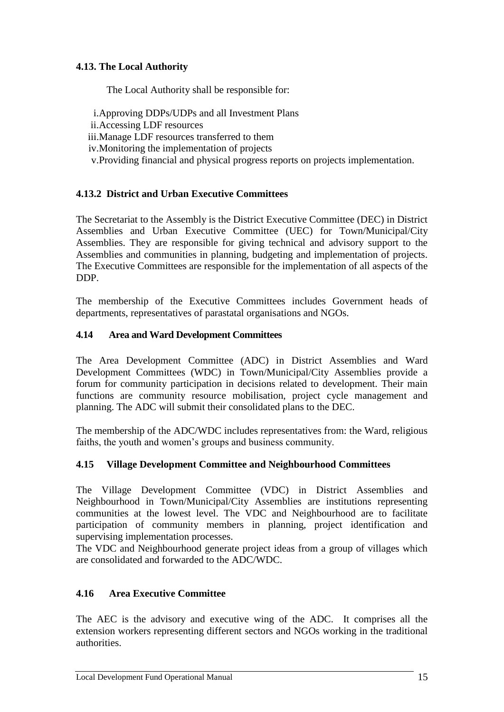# **4.13. The Local Authority**

The Local Authority shall be responsible for:

- i.Approving DDPs/UDPs and all Investment Plans
- ii.Accessing LDF resources
- iii.Manage LDF resources transferred to them
- iv.Monitoring the implementation of projects
- v.Providing financial and physical progress reports on projects implementation.

# **4.13.2 District and Urban Executive Committees**

The Secretariat to the Assembly is the District Executive Committee (DEC) in District Assemblies and Urban Executive Committee (UEC) for Town/Municipal/City Assemblies. They are responsible for giving technical and advisory support to the Assemblies and communities in planning, budgeting and implementation of projects. The Executive Committees are responsible for the implementation of all aspects of the DDP.

The membership of the Executive Committees includes Government heads of departments, representatives of parastatal organisations and NGOs.

# **4.14 Area and Ward Development Committees**

The Area Development Committee (ADC) in District Assemblies and Ward Development Committees (WDC) in Town/Municipal/City Assemblies provide a forum for community participation in decisions related to development. Their main functions are community resource mobilisation, project cycle management and planning. The ADC will submit their consolidated plans to the DEC.

The membership of the ADC/WDC includes representatives from: the Ward, religious faiths, the youth and women's groups and business community.

# **4.15 Village Development Committee and Neighbourhood Committees**

The Village Development Committee (VDC) in District Assemblies and Neighbourhood in Town/Municipal/City Assemblies are institutions representing communities at the lowest level. The VDC and Neighbourhood are to facilitate participation of community members in planning, project identification and supervising implementation processes.

The VDC and Neighbourhood generate project ideas from a group of villages which are consolidated and forwarded to the ADC/WDC.

# **4.16 Area Executive Committee**

The AEC is the advisory and executive wing of the ADC. It comprises all the extension workers representing different sectors and NGOs working in the traditional authorities.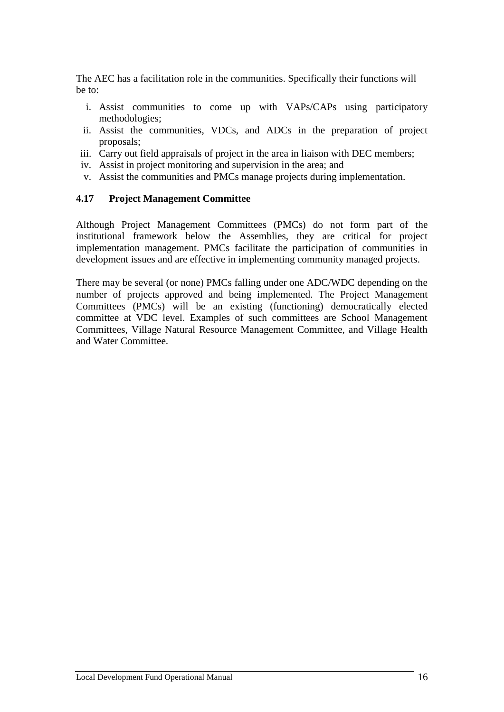The AEC has a facilitation role in the communities. Specifically their functions will be to:

- i. Assist communities to come up with VAPs/CAPs using participatory methodologies;
- ii. Assist the communities, VDCs, and ADCs in the preparation of project proposals;
- iii. Carry out field appraisals of project in the area in liaison with DEC members;
- iv. Assist in project monitoring and supervision in the area; and
- v. Assist the communities and PMCs manage projects during implementation.

#### **4.17 Project Management Committee**

Although Project Management Committees (PMCs) do not form part of the institutional framework below the Assemblies, they are critical for project implementation management. PMCs facilitate the participation of communities in development issues and are effective in implementing community managed projects.

There may be several (or none) PMCs falling under one ADC/WDC depending on the number of projects approved and being implemented. The Project Management Committees (PMCs) will be an existing (functioning) democratically elected committee at VDC level. Examples of such committees are School Management Committees, Village Natural Resource Management Committee, and Village Health and Water Committee.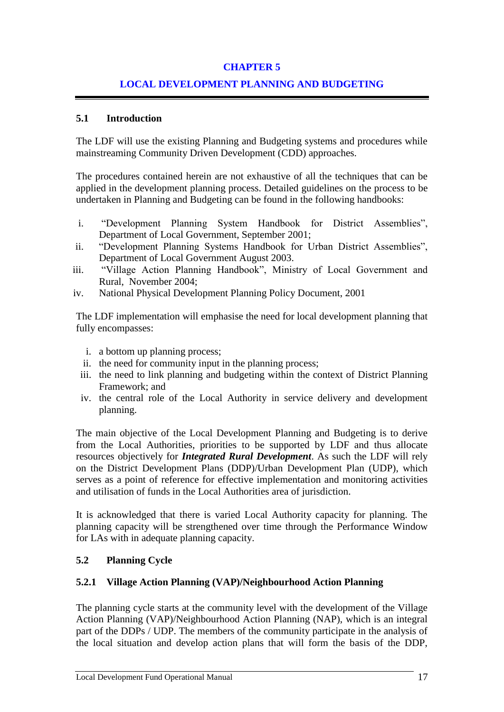# **CHAPTER 5**

# **LOCAL DEVELOPMENT PLANNING AND BUDGETING**

# **5.1 Introduction**

The LDF will use the existing Planning and Budgeting systems and procedures while mainstreaming Community Driven Development (CDD) approaches.

The procedures contained herein are not exhaustive of all the techniques that can be applied in the development planning process. Detailed guidelines on the process to be undertaken in Planning and Budgeting can be found in the following handbooks:

- i. "Development Planning System Handbook for District Assemblies", Department of Local Government, September 2001;
- ii. "Development Planning Systems Handbook for Urban District Assemblies", Department of Local Government August 2003.
- iii. "Village Action Planning Handbook", Ministry of Local Government and Rural, November 2004;
- iv. National Physical Development Planning Policy Document, 2001

The LDF implementation will emphasise the need for local development planning that fully encompasses:

- i. a bottom up planning process;
- ii. the need for community input in the planning process;
- iii. the need to link planning and budgeting within the context of District Planning Framework; and
- iv. the central role of the Local Authority in service delivery and development planning.

The main objective of the Local Development Planning and Budgeting is to derive from the Local Authorities, priorities to be supported by LDF and thus allocate resources objectively for *Integrated Rural Development*. As such the LDF will rely on the District Development Plans (DDP)/Urban Development Plan (UDP), which serves as a point of reference for effective implementation and monitoring activities and utilisation of funds in the Local Authorities area of jurisdiction.

It is acknowledged that there is varied Local Authority capacity for planning. The planning capacity will be strengthened over time through the Performance Window for LAs with in adequate planning capacity.

# **5.2 Planning Cycle**

# **5.2.1 Village Action Planning (VAP)/Neighbourhood Action Planning**

The planning cycle starts at the community level with the development of the Village Action Planning (VAP)/Neighbourhood Action Planning (NAP), which is an integral part of the DDPs / UDP. The members of the community participate in the analysis of the local situation and develop action plans that will form the basis of the DDP,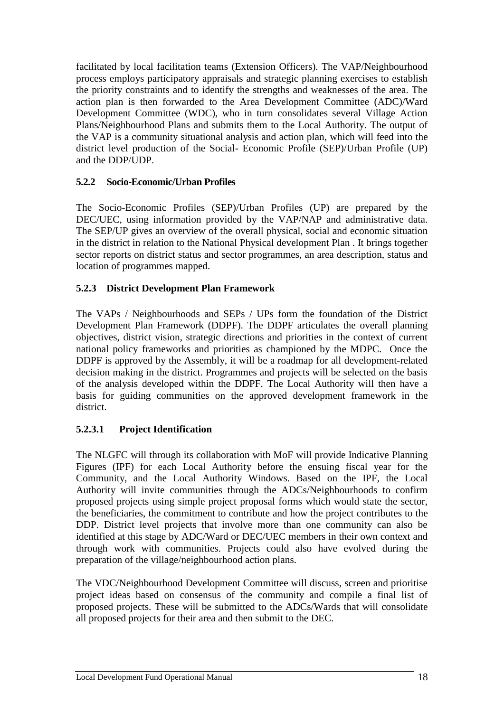facilitated by local facilitation teams (Extension Officers). The VAP/Neighbourhood process employs participatory appraisals and strategic planning exercises to establish the priority constraints and to identify the strengths and weaknesses of the area. The action plan is then forwarded to the Area Development Committee (ADC)/Ward Development Committee (WDC), who in turn consolidates several Village Action Plans/Neighbourhood Plans and submits them to the Local Authority. The output of the VAP is a community situational analysis and action plan, which will feed into the district level production of the Social- Economic Profile (SEP)/Urban Profile (UP) and the DDP/UDP.

# **5.2.2 Socio-Economic/Urban Profiles**

The Socio-Economic Profiles (SEP)/Urban Profiles (UP) are prepared by the DEC/UEC, using information provided by the VAP/NAP and administrative data. The SEP/UP gives an overview of the overall physical, social and economic situation in the district in relation to the National Physical development Plan . It brings together sector reports on district status and sector programmes, an area description, status and location of programmes mapped.

# **5.2.3 District Development Plan Framework**

The VAPs / Neighbourhoods and SEPs / UPs form the foundation of the District Development Plan Framework (DDPF). The DDPF articulates the overall planning objectives, district vision, strategic directions and priorities in the context of current national policy frameworks and priorities as championed by the MDPC. Once the DDPF is approved by the Assembly, it will be a roadmap for all development-related decision making in the district. Programmes and projects will be selected on the basis of the analysis developed within the DDPF. The Local Authority will then have a basis for guiding communities on the approved development framework in the district.

# **5.2.3.1 Project Identification**

The NLGFC will through its collaboration with MoF will provide Indicative Planning Figures (IPF) for each Local Authority before the ensuing fiscal year for the Community, and the Local Authority Windows. Based on the IPF, the Local Authority will invite communities through the ADCs/Neighbourhoods to confirm proposed projects using simple project proposal forms which would state the sector, the beneficiaries, the commitment to contribute and how the project contributes to the DDP. District level projects that involve more than one community can also be identified at this stage by ADC/Ward or DEC/UEC members in their own context and through work with communities. Projects could also have evolved during the preparation of the village/neighbourhood action plans.

The VDC/Neighbourhood Development Committee will discuss, screen and prioritise project ideas based on consensus of the community and compile a final list of proposed projects. These will be submitted to the ADCs/Wards that will consolidate all proposed projects for their area and then submit to the DEC.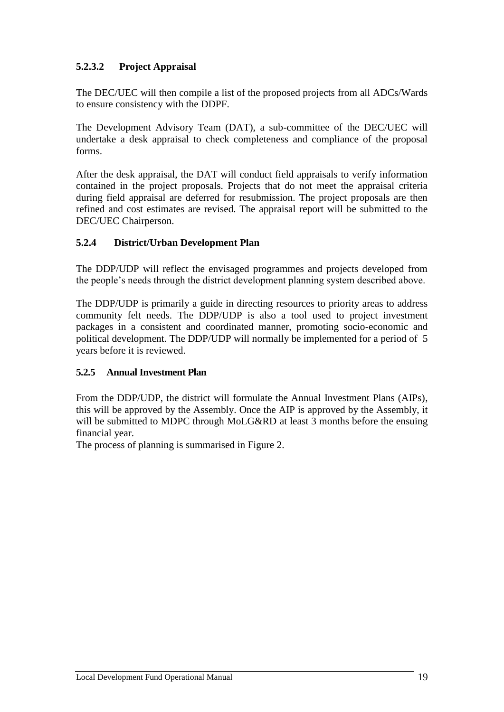# **5.2.3.2 Project Appraisal**

The DEC/UEC will then compile a list of the proposed projects from all ADCs/Wards to ensure consistency with the DDPF.

The Development Advisory Team (DAT), a sub-committee of the DEC/UEC will undertake a desk appraisal to check completeness and compliance of the proposal forms.

After the desk appraisal, the DAT will conduct field appraisals to verify information contained in the project proposals. Projects that do not meet the appraisal criteria during field appraisal are deferred for resubmission. The project proposals are then refined and cost estimates are revised. The appraisal report will be submitted to the DEC/UEC Chairperson.

# **5.2.4 District/Urban Development Plan**

The DDP/UDP will reflect the envisaged programmes and projects developed from the people's needs through the district development planning system described above.

The DDP/UDP is primarily a guide in directing resources to priority areas to address community felt needs. The DDP/UDP is also a tool used to project investment packages in a consistent and coordinated manner, promoting socio-economic and political development. The DDP/UDP will normally be implemented for a period of 5 years before it is reviewed.

# **5.2.5 Annual Investment Plan**

From the DDP/UDP, the district will formulate the Annual Investment Plans (AIPs), this will be approved by the Assembly. Once the AIP is approved by the Assembly, it will be submitted to MDPC through MoLG&RD at least 3 months before the ensuing financial year.

The process of planning is summarised in Figure 2.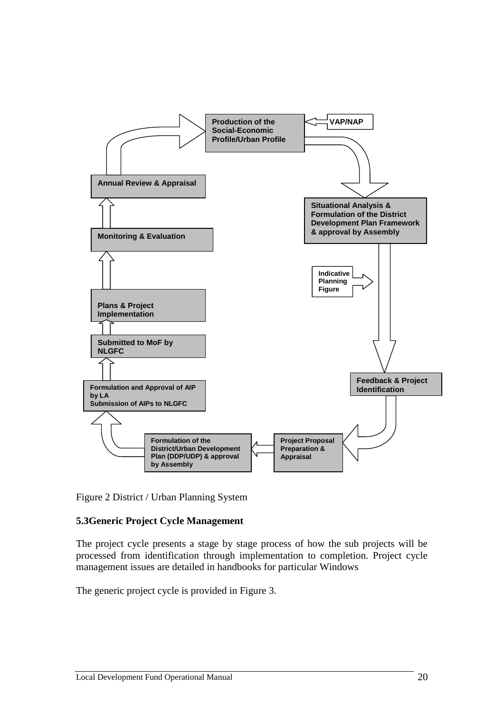

Figure 2 District / Urban Planning System

# **5.3Generic Project Cycle Management**

The project cycle presents a stage by stage process of how the sub projects will be processed from identification through implementation to completion. Project cycle management issues are detailed in handbooks for particular Windows

The generic project cycle is provided in Figure 3.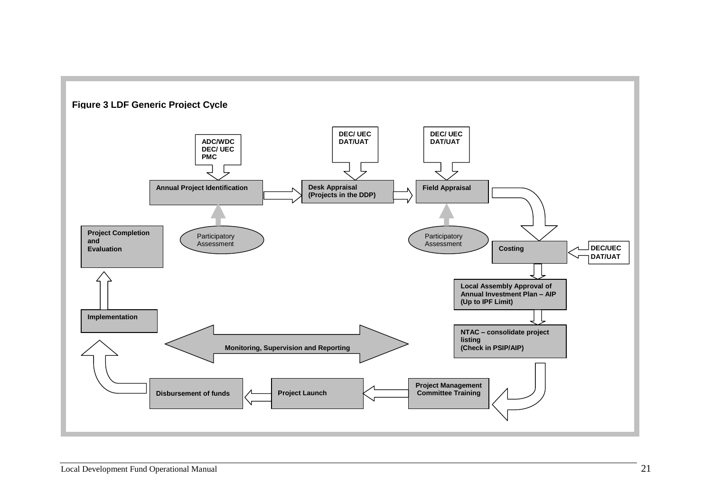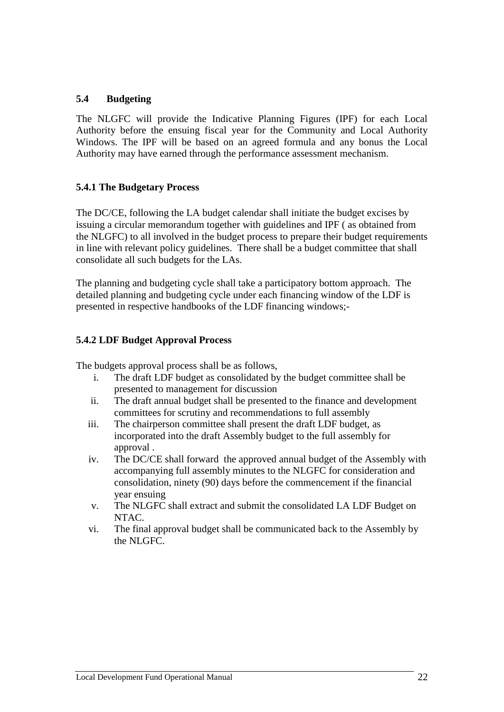# **5.4 Budgeting**

The NLGFC will provide the Indicative Planning Figures (IPF) for each Local Authority before the ensuing fiscal year for the Community and Local Authority Windows. The IPF will be based on an agreed formula and any bonus the Local Authority may have earned through the performance assessment mechanism*.*

# **5.4.1 The Budgetary Process**

The DC/CE, following the LA budget calendar shall initiate the budget excises by issuing a circular memorandum together with guidelines and IPF ( as obtained from the NLGFC) to all involved in the budget process to prepare their budget requirements in line with relevant policy guidelines. There shall be a budget committee that shall consolidate all such budgets for the LAs.

The planning and budgeting cycle shall take a participatory bottom approach. The detailed planning and budgeting cycle under each financing window of the LDF is presented in respective handbooks of the LDF financing windows;-

# **5.4.2 LDF Budget Approval Process**

The budgets approval process shall be as follows,

- i. The draft LDF budget as consolidated by the budget committee shall be presented to management for discussion
- ii. The draft annual budget shall be presented to the finance and development committees for scrutiny and recommendations to full assembly
- iii. The chairperson committee shall present the draft LDF budget, as incorporated into the draft Assembly budget to the full assembly for approval .
- iv. The DC/CE shall forward the approved annual budget of the Assembly with accompanying full assembly minutes to the NLGFC for consideration and consolidation, ninety (90) days before the commencement if the financial year ensuing
- v. The NLGFC shall extract and submit the consolidated LA LDF Budget on NTAC.
- vi. The final approval budget shall be communicated back to the Assembly by the NLGFC.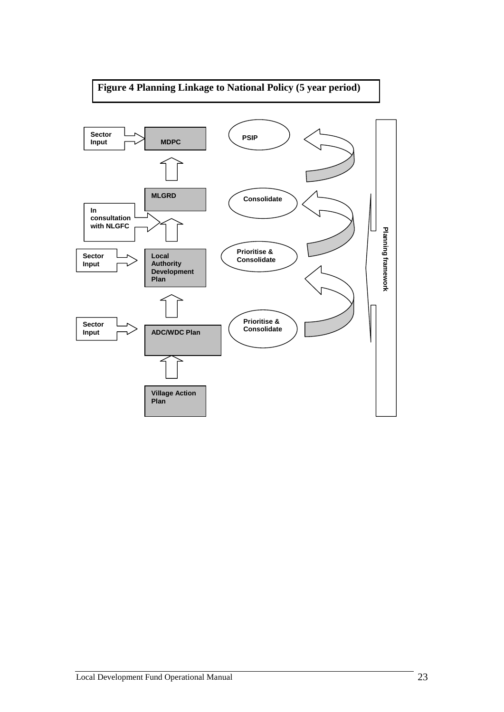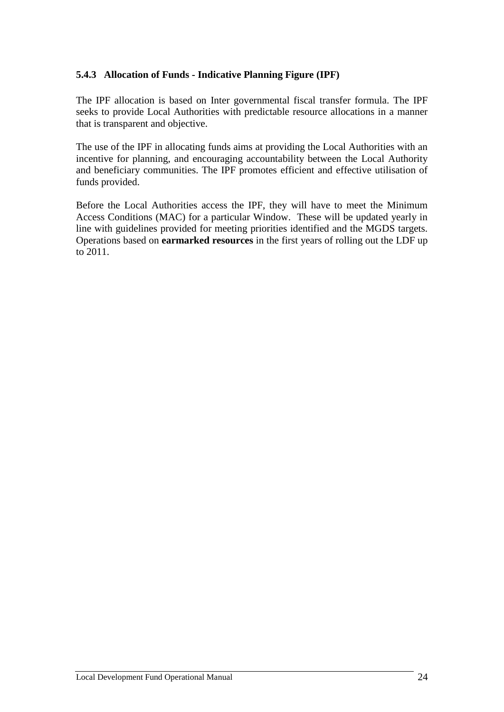# **5.4.3 Allocation of Funds - Indicative Planning Figure (IPF)**

The IPF allocation is based on Inter governmental fiscal transfer formula. The IPF seeks to provide Local Authorities with predictable resource allocations in a manner that is transparent and objective.

The use of the IPF in allocating funds aims at providing the Local Authorities with an incentive for planning, and encouraging accountability between the Local Authority and beneficiary communities. The IPF promotes efficient and effective utilisation of funds provided.

Before the Local Authorities access the IPF, they will have to meet the Minimum Access Conditions (MAC) for a particular Window. These will be updated yearly in line with guidelines provided for meeting priorities identified and the MGDS targets. Operations based on **earmarked resources** in the first years of rolling out the LDF up to 2011.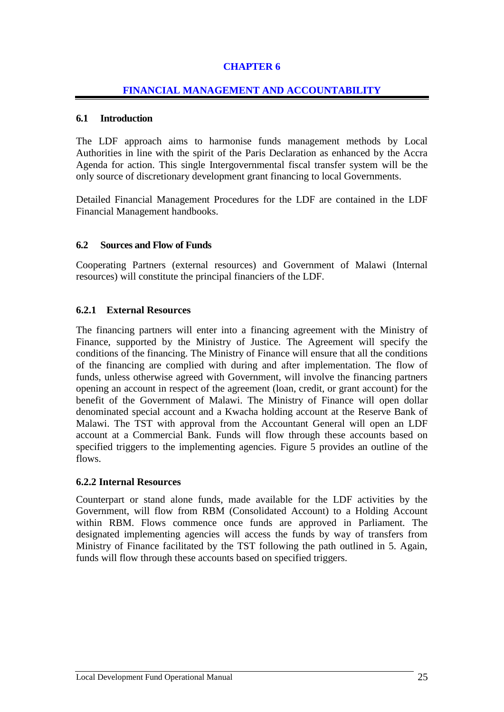# **CHAPTER 6**

#### **FINANCIAL MANAGEMENT AND ACCOUNTABILITY**

#### **6.1 Introduction**

The LDF approach aims to harmonise funds management methods by Local Authorities in line with the spirit of the Paris Declaration as enhanced by the Accra Agenda for action. This single Intergovernmental fiscal transfer system will be the only source of discretionary development grant financing to local Governments.

Detailed Financial Management Procedures for the LDF are contained in the LDF Financial Management handbooks.

#### **6.2 Sources and Flow of Funds**

Cooperating Partners (external resources) and Government of Malawi (Internal resources) will constitute the principal financiers of the LDF.

#### **6.2.1 External Resources**

The financing partners will enter into a financing agreement with the Ministry of Finance, supported by the Ministry of Justice. The Agreement will specify the conditions of the financing. The Ministry of Finance will ensure that all the conditions of the financing are complied with during and after implementation. The flow of funds, unless otherwise agreed with Government, will involve the financing partners opening an account in respect of the agreement (loan, credit, or grant account) for the benefit of the Government of Malawi. The Ministry of Finance will open dollar denominated special account and a Kwacha holding account at the Reserve Bank of Malawi. The TST with approval from the Accountant General will open an LDF account at a Commercial Bank. Funds will flow through these accounts based on specified triggers to the implementing agencies. Figure 5 provides an outline of the flows.

#### **6.2.2 Internal Resources**

Counterpart or stand alone funds, made available for the LDF activities by the Government, will flow from RBM (Consolidated Account) to a Holding Account within RBM. Flows commence once funds are approved in Parliament. The designated implementing agencies will access the funds by way of transfers from Ministry of Finance facilitated by the TST following the path outlined in 5. Again, funds will flow through these accounts based on specified triggers.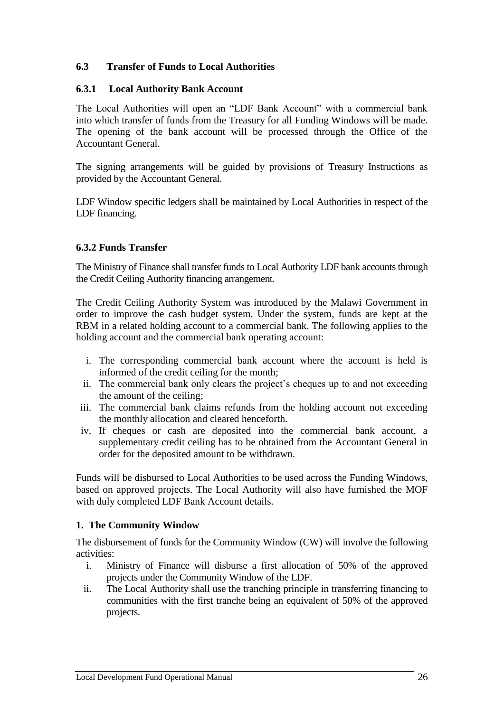# **6.3 Transfer of Funds to Local Authorities**

#### **6.3.1 Local Authority Bank Account**

The Local Authorities will open an "LDF Bank Account" with a commercial bank into which transfer of funds from the Treasury for all Funding Windows will be made. The opening of the bank account will be processed through the Office of the Accountant General.

The signing arrangements will be guided by provisions of Treasury Instructions as provided by the Accountant General.

LDF Window specific ledgers shall be maintained by Local Authorities in respect of the LDF financing.

#### **6.3.2 Funds Transfer**

The Ministry of Finance shall transfer funds to Local Authority LDF bank accounts through the Credit Ceiling Authority financing arrangement.

The Credit Ceiling Authority System was introduced by the Malawi Government in order to improve the cash budget system. Under the system, funds are kept at the RBM in a related holding account to a commercial bank. The following applies to the holding account and the commercial bank operating account:

- i. The corresponding commercial bank account where the account is held is informed of the credit ceiling for the month;
- ii. The commercial bank only clears the project's cheques up to and not exceeding the amount of the ceiling;
- iii. The commercial bank claims refunds from the holding account not exceeding the monthly allocation and cleared henceforth.
- iv. If cheques or cash are deposited into the commercial bank account, a supplementary credit ceiling has to be obtained from the Accountant General in order for the deposited amount to be withdrawn.

Funds will be disbursed to Local Authorities to be used across the Funding Windows, based on approved projects. The Local Authority will also have furnished the MOF with duly completed LDF Bank Account details.

# **1. The Community Window**

The disbursement of funds for the Community Window (CW) will involve the following activities:

- i. Ministry of Finance will disburse a first allocation of 50% of the approved projects under the Community Window of the LDF.
- ii. The Local Authority shall use the tranching principle in transferring financing to communities with the first tranche being an equivalent of 50% of the approved projects.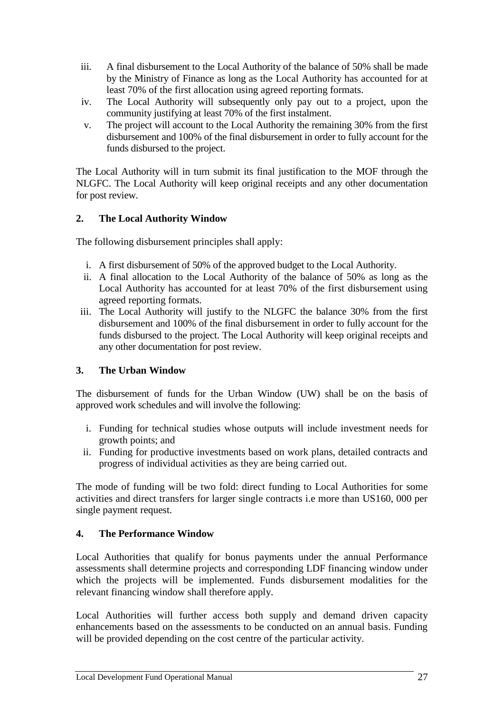- iii. A final disbursement to the Local Authority of the balance of 50% shall be made by the Ministry of Finance as long as the Local Authority has accounted for at least 70% of the first allocation using agreed reporting formats.
- iv. The Local Authority will subsequently only pay out to a project, upon the community justifying at least 70% of the first instalment.
- v. The project will account to the Local Authority the remaining 30% from the first disbursement and 100% of the final disbursement in order to fully account for the funds disbursed to the project.

The Local Authority will in turn submit its final justification to the MOF through the NLGFC. The Local Authority will keep original receipts and any other documentation for post review.

# **2. The Local Authority Window**

The following disbursement principles shall apply:

- i. A first disbursement of 50% of the approved budget to the Local Authority.
- ii. A final allocation to the Local Authority of the balance of 50% as long as the Local Authority has accounted for at least 70% of the first disbursement using agreed reporting formats.
- iii. The Local Authority will justify to the NLGFC the balance 30% from the first disbursement and 100% of the final disbursement in order to fully account for the funds disbursed to the project. The Local Authority will keep original receipts and any other documentation for post review.

# **3. The Urban Window**

The disbursement of funds for the Urban Window (UW) shall be on the basis of approved work schedules and will involve the following:

- i. Funding for technical studies whose outputs will include investment needs for growth points; and
- ii. Funding for productive investments based on work plans, detailed contracts and progress of individual activities as they are being carried out.

The mode of funding will be two fold: direct funding to Local Authorities for some activities and direct transfers for larger single contracts i.e more than US160, 000 per single payment request.

# **4. The Performance Window**

Local Authorities that qualify for bonus payments under the annual Performance assessments shall determine projects and corresponding LDF financing window under which the projects will be implemented. Funds disbursement modalities for the relevant financing window shall therefore apply.

Local Authorities will further access both supply and demand driven capacity enhancements based on the assessments to be conducted on an annual basis. Funding will be provided depending on the cost centre of the particular activity.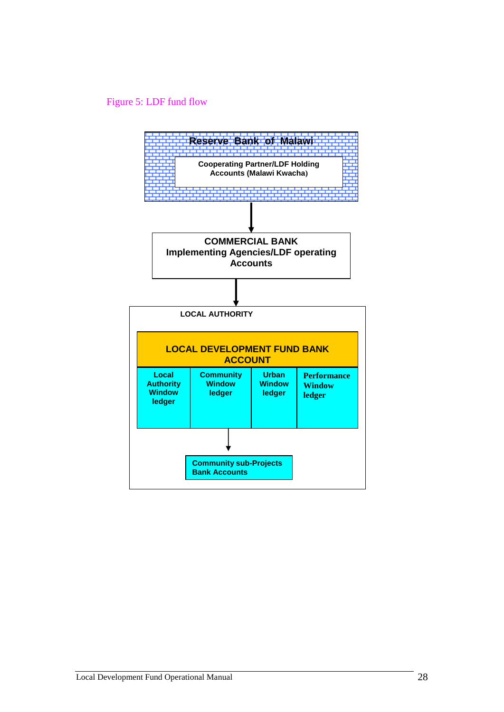# Figure 5: LDF fund flow

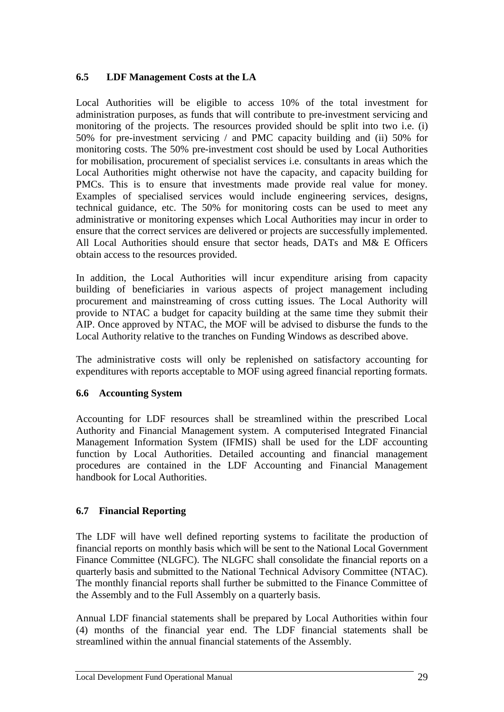# **6.5 LDF Management Costs at the LA**

Local Authorities will be eligible to access 10% of the total investment for administration purposes, as funds that will contribute to pre-investment servicing and monitoring of the projects. The resources provided should be split into two i.e. (i) 50% for pre-investment servicing / and PMC capacity building and (ii) 50% for monitoring costs. The 50% pre-investment cost should be used by Local Authorities for mobilisation, procurement of specialist services i.e. consultants in areas which the Local Authorities might otherwise not have the capacity, and capacity building for PMCs. This is to ensure that investments made provide real value for money. Examples of specialised services would include engineering services, designs, technical guidance, etc. The 50% for monitoring costs can be used to meet any administrative or monitoring expenses which Local Authorities may incur in order to ensure that the correct services are delivered or projects are successfully implemented. All Local Authorities should ensure that sector heads, DATs and M& E Officers obtain access to the resources provided.

In addition, the Local Authorities will incur expenditure arising from capacity building of beneficiaries in various aspects of project management including procurement and mainstreaming of cross cutting issues. The Local Authority will provide to NTAC a budget for capacity building at the same time they submit their AIP. Once approved by NTAC, the MOF will be advised to disburse the funds to the Local Authority relative to the tranches on Funding Windows as described above.

The administrative costs will only be replenished on satisfactory accounting for expenditures with reports acceptable to MOF using agreed financial reporting formats.

# **6.6 Accounting System**

Accounting for LDF resources shall be streamlined within the prescribed Local Authority and Financial Management system. A computerised Integrated Financial Management Information System (IFMIS) shall be used for the LDF accounting function by Local Authorities. Detailed accounting and financial management procedures are contained in the LDF Accounting and Financial Management handbook for Local Authorities.

# **6.7 Financial Reporting**

The LDF will have well defined reporting systems to facilitate the production of financial reports on monthly basis which will be sent to the National Local Government Finance Committee (NLGFC). The NLGFC shall consolidate the financial reports on a quarterly basis and submitted to the National Technical Advisory Committee (NTAC). The monthly financial reports shall further be submitted to the Finance Committee of the Assembly and to the Full Assembly on a quarterly basis.

Annual LDF financial statements shall be prepared by Local Authorities within four (4) months of the financial year end. The LDF financial statements shall be streamlined within the annual financial statements of the Assembly.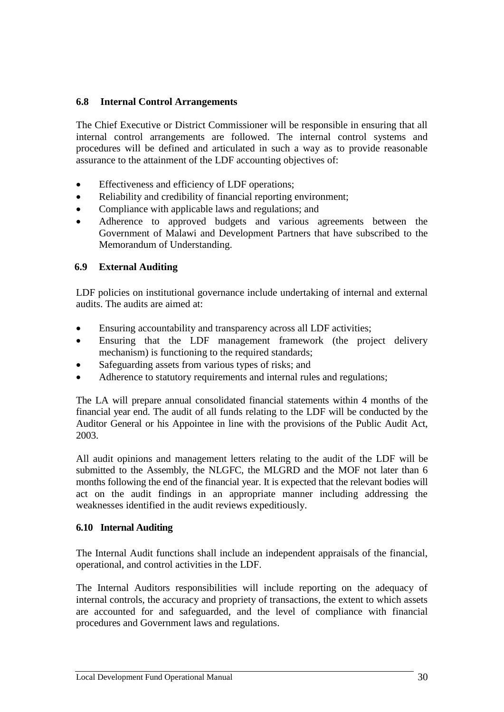# **6.8 Internal Control Arrangements**

The Chief Executive or District Commissioner will be responsible in ensuring that all internal control arrangements are followed. The internal control systems and procedures will be defined and articulated in such a way as to provide reasonable assurance to the attainment of the LDF accounting objectives of:

- Effectiveness and efficiency of LDF operations;
- Reliability and credibility of financial reporting environment;
- Compliance with applicable laws and regulations; and
- Adherence to approved budgets and various agreements between the Government of Malawi and Development Partners that have subscribed to the Memorandum of Understanding.

# **6.9 External Auditing**

LDF policies on institutional governance include undertaking of internal and external audits. The audits are aimed at:

- Ensuring accountability and transparency across all LDF activities;
- Ensuring that the LDF management framework (the project delivery mechanism) is functioning to the required standards;
- Safeguarding assets from various types of risks; and
- Adherence to statutory requirements and internal rules and regulations;

The LA will prepare annual consolidated financial statements within 4 months of the financial year end. The audit of all funds relating to the LDF will be conducted by the Auditor General or his Appointee in line with the provisions of the Public Audit Act, 2003.

All audit opinions and management letters relating to the audit of the LDF will be submitted to the Assembly, the NLGFC, the MLGRD and the MOF not later than 6 months following the end of the financial year. It is expected that the relevant bodies will act on the audit findings in an appropriate manner including addressing the weaknesses identified in the audit reviews expeditiously.

# **6.10 Internal Auditing**

The Internal Audit functions shall include an independent appraisals of the financial, operational, and control activities in the LDF.

The Internal Auditors responsibilities will include reporting on the adequacy of internal controls, the accuracy and propriety of transactions, the extent to which assets are accounted for and safeguarded, and the level of compliance with financial procedures and Government laws and regulations.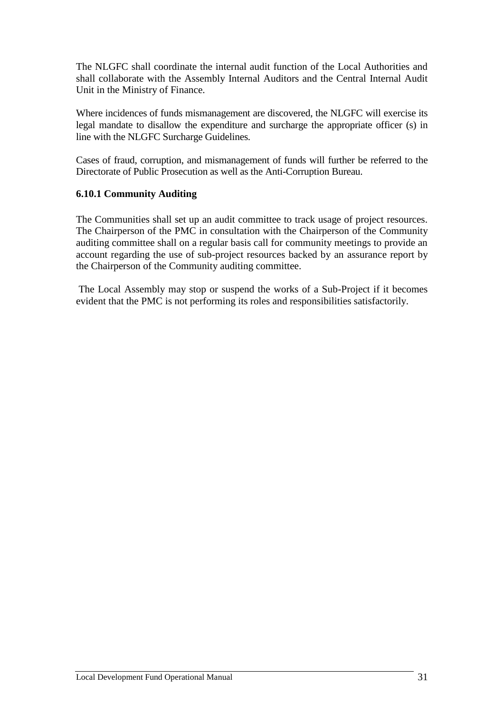The NLGFC shall coordinate the internal audit function of the Local Authorities and shall collaborate with the Assembly Internal Auditors and the Central Internal Audit Unit in the Ministry of Finance.

Where incidences of funds mismanagement are discovered, the NLGFC will exercise its legal mandate to disallow the expenditure and surcharge the appropriate officer (s) in line with the NLGFC Surcharge Guidelines.

Cases of fraud, corruption, and mismanagement of funds will further be referred to the Directorate of Public Prosecution as well as the Anti-Corruption Bureau.

# **6.10.1 Community Auditing**

The Communities shall set up an audit committee to track usage of project resources. The Chairperson of the PMC in consultation with the Chairperson of the Community auditing committee shall on a regular basis call for community meetings to provide an account regarding the use of sub-project resources backed by an assurance report by the Chairperson of the Community auditing committee.

The Local Assembly may stop or suspend the works of a Sub-Project if it becomes evident that the PMC is not performing its roles and responsibilities satisfactorily.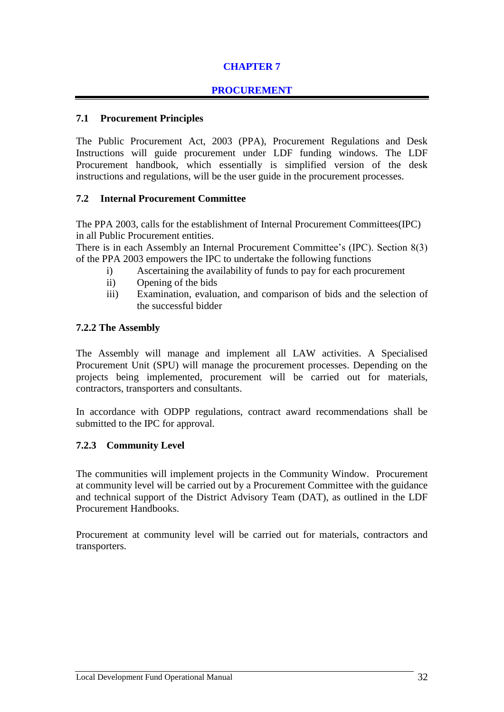# **CHAPTER 7**

# **PROCUREMENT**

# **7.1 Procurement Principles**

The Public Procurement Act, 2003 (PPA), Procurement Regulations and Desk Instructions will guide procurement under LDF funding windows. The LDF Procurement handbook, which essentially is simplified version of the desk instructions and regulations, will be the user guide in the procurement processes.

# **7.2 Internal Procurement Committee**

The PPA 2003, calls for the establishment of Internal Procurement Committees(IPC) in all Public Procurement entities.

There is in each Assembly an Internal Procurement Committee's (IPC). Section 8(3) of the PPA 2003 empowers the IPC to undertake the following functions

- i) Ascertaining the availability of funds to pay for each procurement
- ii) Opening of the bids
- iii) Examination, evaluation, and comparison of bids and the selection of the successful bidder

#### **7.2.2 The Assembly**

The Assembly will manage and implement all LAW activities. A Specialised Procurement Unit (SPU) will manage the procurement processes. Depending on the projects being implemented, procurement will be carried out for materials, contractors, transporters and consultants.

In accordance with ODPP regulations, contract award recommendations shall be submitted to the IPC for approval.

# **7.2.3 Community Level**

The communities will implement projects in the Community Window. Procurement at community level will be carried out by a Procurement Committee with the guidance and technical support of the District Advisory Team (DAT), as outlined in the LDF Procurement Handbooks.

Procurement at community level will be carried out for materials, contractors and transporters.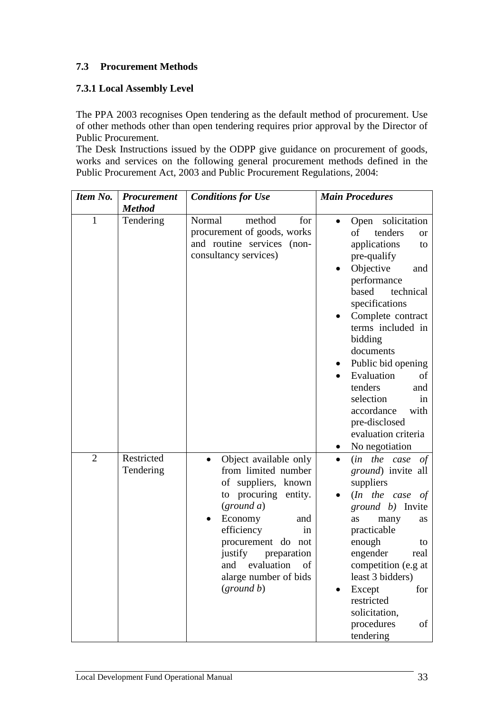# **7.3 Procurement Methods**

# **7.3.1 Local Assembly Level**

The PPA 2003 recognises Open tendering as the default method of procurement. Use of other methods other than open tendering requires prior approval by the Director of Public Procurement.

The Desk Instructions issued by the ODPP give guidance on procurement of goods, works and services on the following general procurement methods defined in the Public Procurement Act, 2003 and Public Procurement Regulations, 2004:

| Item No.       | <b>Procurement</b>      | <b>Conditions for Use</b>                                                                                                                                                                                                                                                   | <b>Main Procedures</b>                                                                                                                                                                                                                                                                                                                                                                                         |  |
|----------------|-------------------------|-----------------------------------------------------------------------------------------------------------------------------------------------------------------------------------------------------------------------------------------------------------------------------|----------------------------------------------------------------------------------------------------------------------------------------------------------------------------------------------------------------------------------------------------------------------------------------------------------------------------------------------------------------------------------------------------------------|--|
|                | <b>Method</b>           |                                                                                                                                                                                                                                                                             |                                                                                                                                                                                                                                                                                                                                                                                                                |  |
| 1              | Tendering               | method<br>Normal<br>for<br>procurement of goods, works<br>and routine services (non-<br>consultancy services)                                                                                                                                                               | solicitation<br>Open<br>tenders<br>of<br><b>or</b><br>applications<br>to<br>pre-qualify<br>Objective<br>and<br>performance<br>based<br>technical<br>specifications<br>Complete contract<br>terms included in<br>bidding<br>documents<br>Public bid opening<br>Evaluation<br>of<br>tenders<br>and<br>selection<br><sub>in</sub><br>with<br>accordance<br>pre-disclosed<br>evaluation criteria<br>No negotiation |  |
| $\overline{2}$ | Restricted<br>Tendering | Object available only<br>$\bullet$<br>from limited number<br>of suppliers, known<br>to procuring entity.<br>(ground a)<br>Economy<br>and<br>efficiency<br>in<br>procurement do not<br>justify<br>preparation<br>of<br>and evaluation<br>alarge number of bids<br>(ground b) | (in the case<br>of<br>$\bullet$<br><i>ground</i> ) invite all<br>suppliers<br>$(In$ the case of<br><i>ground b</i> ) Invite<br>as<br>many<br>as<br>practicable<br>enough<br>to<br>engender<br>real<br>competition (e.g at<br>least 3 bidders)<br>Except<br>for<br>restricted<br>solicitation,<br>procedures<br>οf<br>tendering                                                                                 |  |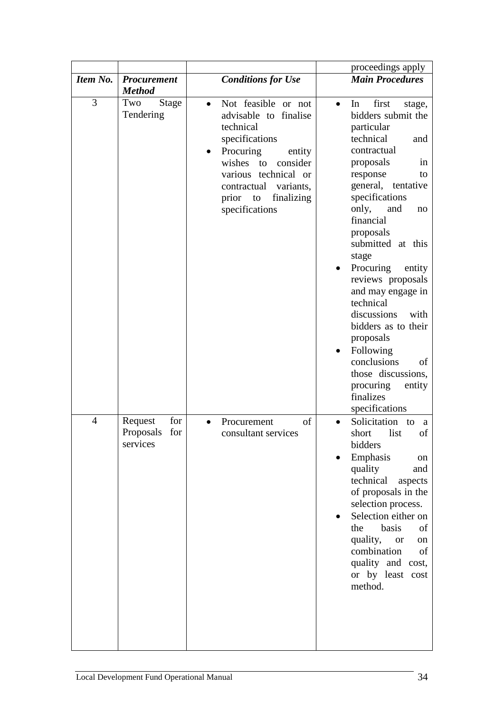|                |                                                |                                                                                                                                                                                                                                          | proceedings apply                                                                                                                                                                                                                                                                                                                                                                                                                                                                                                           |
|----------------|------------------------------------------------|------------------------------------------------------------------------------------------------------------------------------------------------------------------------------------------------------------------------------------------|-----------------------------------------------------------------------------------------------------------------------------------------------------------------------------------------------------------------------------------------------------------------------------------------------------------------------------------------------------------------------------------------------------------------------------------------------------------------------------------------------------------------------------|
| Item No.       | <b>Procurement</b><br><b>Method</b>            | <b>Conditions for Use</b>                                                                                                                                                                                                                | <b>Main Procedures</b>                                                                                                                                                                                                                                                                                                                                                                                                                                                                                                      |
| 3              | Two<br><b>Stage</b><br>Tendering               | Not feasible or not<br>$\bullet$<br>advisable to finalise<br>technical<br>specifications<br>Procuring<br>entity<br>wishes<br>consider<br>to<br>various technical or<br>contractual variants,<br>finalizing<br>prior to<br>specifications | first<br>In<br>stage,<br>$\bullet$<br>bidders submit the<br>particular<br>technical<br>and<br>contractual<br>proposals<br>in<br>response<br>to<br>general, tentative<br>specifications<br>only,<br>and<br>no<br>financial<br>proposals<br>submitted at this<br>stage<br>Procuring<br>entity<br>reviews proposals<br>and may engage in<br>technical<br>discussions<br>with<br>bidders as to their<br>proposals<br>Following<br>conclusions<br>of<br>those discussions,<br>procuring<br>entity<br>finalizes<br>specifications |
| $\overline{4}$ | for<br>Request<br>Proposals<br>for<br>services | of<br>Procurement<br>consultant services                                                                                                                                                                                                 | Solicitation<br>to<br>a<br>list<br>of<br>short<br>bidders<br>Emphasis<br>on<br>quality<br>and<br>technical<br>aspects<br>of proposals in the<br>selection process.<br>Selection either on<br>basis<br>the<br>of<br>quality,<br><b>or</b><br>on<br>combination<br>of<br>quality and cost,<br>or by least cost<br>method.                                                                                                                                                                                                     |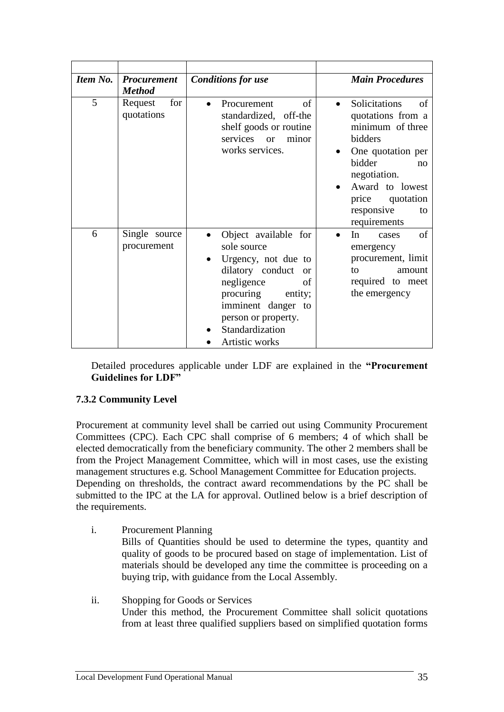| <b>Item No.</b> | <b>Procurement</b><br><b>Method</b> | <b>Conditions for use</b>                                                                                                                                                                                                                  | <b>Main Procedures</b>                                                                                                                                                                                 |
|-----------------|-------------------------------------|--------------------------------------------------------------------------------------------------------------------------------------------------------------------------------------------------------------------------------------------|--------------------------------------------------------------------------------------------------------------------------------------------------------------------------------------------------------|
| 5               | for<br>Request<br>quotations        | of<br>Procurement<br>$\bullet$<br>standardized, off-the<br>shelf goods or routine<br>services<br><b>or</b><br>minor<br>works services.                                                                                                     | Solicitations<br>of<br>quotations from a<br>minimum of three<br>bidders<br>One quotation per<br>bidder<br>no<br>negotiation.<br>Award to lowest<br>price quotation<br>responsive<br>to<br>requirements |
| 6               | Single source<br>procurement        | Object available for<br>$\bullet$<br>sole source<br>Urgency, not due to<br>dilatory conduct<br><sub>or</sub><br>negligence<br>of<br>procuring<br>entity;<br>imminent danger to<br>person or property.<br>Standardization<br>Artistic works | of<br>In<br>cases<br>emergency<br>procurement, limit<br>to<br>amount<br>required to meet<br>the emergency                                                                                              |

Detailed procedures applicable under LDF are explained in the **"Procurement Guidelines for LDF"**

# **7.3.2 Community Level**

Procurement at community level shall be carried out using Community Procurement Committees (CPC). Each CPC shall comprise of 6 members; 4 of which shall be elected democratically from the beneficiary community. The other 2 members shall be from the Project Management Committee, which will in most cases, use the existing management structures e.g. School Management Committee for Education projects. Depending on thresholds, the contract award recommendations by the PC shall be submitted to the IPC at the LA for approval. Outlined below is a brief description of the requirements.

- i. Procurement Planning Bills of Quantities should be used to determine the types, quantity and quality of goods to be procured based on stage of implementation. List of materials should be developed any time the committee is proceeding on a buying trip, with guidance from the Local Assembly.
- ii. Shopping for Goods or Services Under this method, the Procurement Committee shall solicit quotations from at least three qualified suppliers based on simplified quotation forms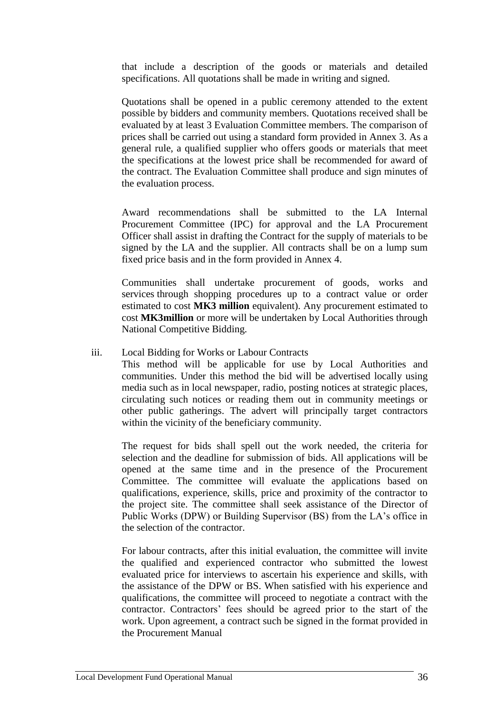that include a description of the goods or materials and detailed specifications. All quotations shall be made in writing and signed.

Quotations shall be opened in a public ceremony attended to the extent possible by bidders and community members. Quotations received shall be evaluated by at least 3 Evaluation Committee members. The comparison of prices shall be carried out using a standard form provided in Annex 3. As a general rule, a qualified supplier who offers goods or materials that meet the specifications at the lowest price shall be recommended for award of the contract. The Evaluation Committee shall produce and sign minutes of the evaluation process.

Award recommendations shall be submitted to the LA Internal Procurement Committee (IPC) for approval and the LA Procurement Officer shall assist in drafting the Contract for the supply of materials to be signed by the LA and the supplier. All contracts shall be on a lump sum fixed price basis and in the form provided in Annex 4.

Communities shall undertake procurement of goods, works and services through shopping procedures up to a contract value or order estimated to cost **MK3 million** equivalent). Any procurement estimated to cost **MK3million** or more will be undertaken by Local Authorities through National Competitive Bidding.

#### iii. Local Bidding for Works or Labour Contracts

This method will be applicable for use by Local Authorities and communities. Under this method the bid will be advertised locally using media such as in local newspaper, radio, posting notices at strategic places, circulating such notices or reading them out in community meetings or other public gatherings. The advert will principally target contractors within the vicinity of the beneficiary community.

The request for bids shall spell out the work needed, the criteria for selection and the deadline for submission of bids. All applications will be opened at the same time and in the presence of the Procurement Committee. The committee will evaluate the applications based on qualifications, experience, skills, price and proximity of the contractor to the project site. The committee shall seek assistance of the Director of Public Works (DPW) or Building Supervisor (BS) from the LA's office in the selection of the contractor.

For labour contracts, after this initial evaluation, the committee will invite the qualified and experienced contractor who submitted the lowest evaluated price for interviews to ascertain his experience and skills, with the assistance of the DPW or BS. When satisfied with his experience and qualifications, the committee will proceed to negotiate a contract with the contractor. Contractors' fees should be agreed prior to the start of the work. Upon agreement, a contract such be signed in the format provided in the Procurement Manual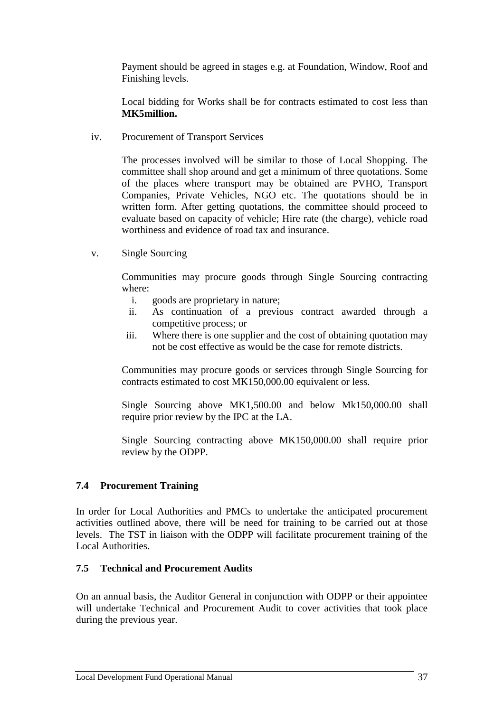Payment should be agreed in stages e.g. at Foundation, Window, Roof and Finishing levels.

Local bidding for Works shall be for contracts estimated to cost less than **MK5million.**

iv. Procurement of Transport Services

The processes involved will be similar to those of Local Shopping. The committee shall shop around and get a minimum of three quotations. Some of the places where transport may be obtained are PVHO, Transport Companies, Private Vehicles, NGO etc. The quotations should be in written form. After getting quotations, the committee should proceed to evaluate based on capacity of vehicle; Hire rate (the charge), vehicle road worthiness and evidence of road tax and insurance.

v. Single Sourcing

Communities may procure goods through Single Sourcing contracting where:

- i. goods are proprietary in nature;
- ii. As continuation of a previous contract awarded through a competitive process; or
- iii. Where there is one supplier and the cost of obtaining quotation may not be cost effective as would be the case for remote districts.

Communities may procure goods or services through Single Sourcing for contracts estimated to cost MK150,000.00 equivalent or less.

Single Sourcing above MK1,500.00 and below Mk150,000.00 shall require prior review by the IPC at the LA.

Single Sourcing contracting above MK150,000.00 shall require prior review by the ODPP.

# **7.4 Procurement Training**

In order for Local Authorities and PMCs to undertake the anticipated procurement activities outlined above, there will be need for training to be carried out at those levels. The TST in liaison with the ODPP will facilitate procurement training of the Local Authorities.

# **7.5 Technical and Procurement Audits**

On an annual basis, the Auditor General in conjunction with ODPP or their appointee will undertake Technical and Procurement Audit to cover activities that took place during the previous year.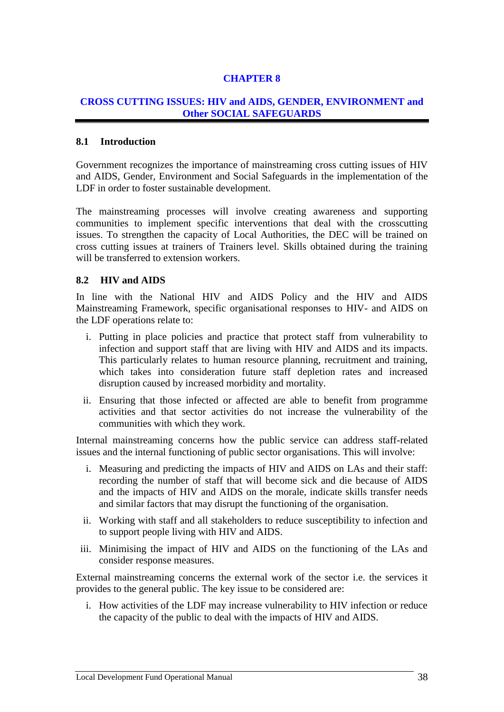# **CHAPTER 8**

# **CROSS CUTTING ISSUES: HIV and AIDS, GENDER, ENVIRONMENT and Other SOCIAL SAFEGUARDS**

#### **8.1 Introduction**

Government recognizes the importance of mainstreaming cross cutting issues of HIV and AIDS, Gender, Environment and Social Safeguards in the implementation of the LDF in order to foster sustainable development.

The mainstreaming processes will involve creating awareness and supporting communities to implement specific interventions that deal with the crosscutting issues. To strengthen the capacity of Local Authorities, the DEC will be trained on cross cutting issues at trainers of Trainers level. Skills obtained during the training will be transferred to extension workers.

#### **8.2 HIV and AIDS**

In line with the National HIV and AIDS Policy and the HIV and AIDS Mainstreaming Framework, specific organisational responses to HIV- and AIDS on the LDF operations relate to:

- i. Putting in place policies and practice that protect staff from vulnerability to infection and support staff that are living with HIV and AIDS and its impacts. This particularly relates to human resource planning, recruitment and training, which takes into consideration future staff depletion rates and increased disruption caused by increased morbidity and mortality.
- ii. Ensuring that those infected or affected are able to benefit from programme activities and that sector activities do not increase the vulnerability of the communities with which they work.

Internal mainstreaming concerns how the public service can address staff-related issues and the internal functioning of public sector organisations. This will involve:

- i. Measuring and predicting the impacts of HIV and AIDS on LAs and their staff: recording the number of staff that will become sick and die because of AIDS and the impacts of HIV and AIDS on the morale, indicate skills transfer needs and similar factors that may disrupt the functioning of the organisation.
- ii. Working with staff and all stakeholders to reduce susceptibility to infection and to support people living with HIV and AIDS.
- iii. Minimising the impact of HIV and AIDS on the functioning of the LAs and consider response measures.

External mainstreaming concerns the external work of the sector i.e. the services it provides to the general public. The key issue to be considered are:

i. How activities of the LDF may increase vulnerability to HIV infection or reduce the capacity of the public to deal with the impacts of HIV and AIDS.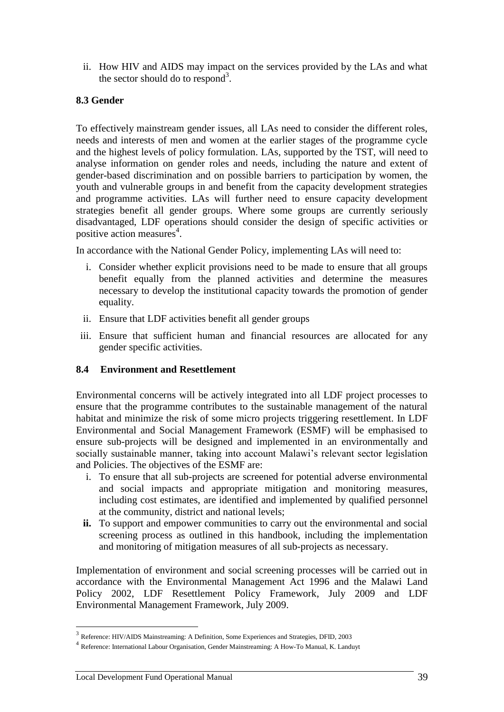ii. How HIV and AIDS may impact on the services provided by the LAs and what the sector should do to respond<sup>3</sup>.

# **8.3 Gender**

To effectively mainstream gender issues, all LAs need to consider the different roles, needs and interests of men and women at the earlier stages of the programme cycle and the highest levels of policy formulation. LAs, supported by the TST, will need to analyse information on gender roles and needs, including the nature and extent of gender-based discrimination and on possible barriers to participation by women, the youth and vulnerable groups in and benefit from the capacity development strategies and programme activities. LAs will further need to ensure capacity development strategies benefit all gender groups. Where some groups are currently seriously disadvantaged, LDF operations should consider the design of specific activities or positive action measures<sup>4</sup>.

In accordance with the National Gender Policy, implementing LAs will need to:

- i. Consider whether explicit provisions need to be made to ensure that all groups benefit equally from the planned activities and determine the measures necessary to develop the institutional capacity towards the promotion of gender equality.
- ii. Ensure that LDF activities benefit all gender groups
- iii. Ensure that sufficient human and financial resources are allocated for any gender specific activities.

# **8.4 Environment and Resettlement**

Environmental concerns will be actively integrated into all LDF project processes to ensure that the programme contributes to the sustainable management of the natural habitat and minimize the risk of some micro projects triggering resettlement. In LDF Environmental and Social Management Framework (ESMF) will be emphasised to ensure sub-projects will be designed and implemented in an environmentally and socially sustainable manner, taking into account Malawi's relevant sector legislation and Policies. The objectives of the ESMF are:

- i. To ensure that all sub-projects are screened for potential adverse environmental and social impacts and appropriate mitigation and monitoring measures, including cost estimates, are identified and implemented by qualified personnel at the community, district and national levels;
- **ii.** To support and empower communities to carry out the environmental and social screening process as outlined in this handbook, including the implementation and monitoring of mitigation measures of all sub-projects as necessary.

Implementation of environment and social screening processes will be carried out in accordance with the Environmental Management Act 1996 and the Malawi Land Policy 2002, LDF Resettlement Policy Framework, July 2009 and LDF Environmental Management Framework, July 2009.

 $\overline{a}$ 

<sup>&</sup>lt;sup>3</sup> Reference: HIV/AIDS Mainstreaming: A Definition, Some Experiences and Strategies, DFID, 2003

<sup>4</sup> Reference: International Labour Organisation, Gender Mainstreaming: A How-To Manual, K. Landuyt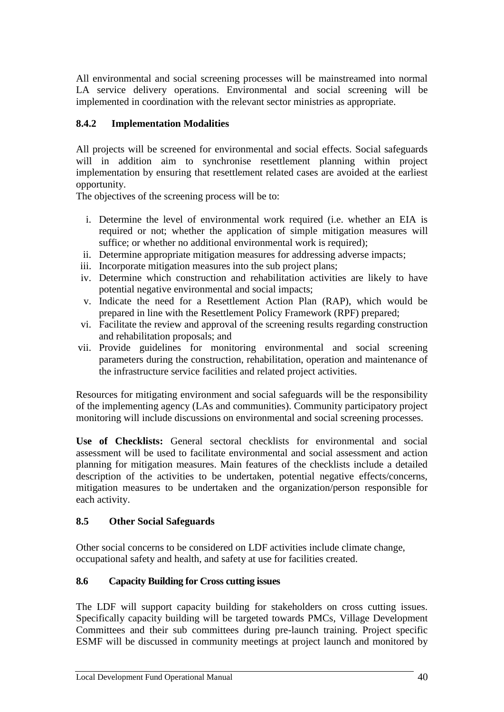All environmental and social screening processes will be mainstreamed into normal LA service delivery operations. Environmental and social screening will be implemented in coordination with the relevant sector ministries as appropriate.

# **8.4.2 Implementation Modalities**

All projects will be screened for environmental and social effects. Social safeguards will in addition aim to synchronise resettlement planning within project implementation by ensuring that resettlement related cases are avoided at the earliest opportunity.

The objectives of the screening process will be to:

- i. Determine the level of environmental work required (i.e. whether an EIA is required or not; whether the application of simple mitigation measures will suffice; or whether no additional environmental work is required);
- ii. Determine appropriate mitigation measures for addressing adverse impacts;
- iii. Incorporate mitigation measures into the sub project plans;
- iv. Determine which construction and rehabilitation activities are likely to have potential negative environmental and social impacts;
- v. Indicate the need for a Resettlement Action Plan (RAP), which would be prepared in line with the Resettlement Policy Framework (RPF) prepared;
- vi. Facilitate the review and approval of the screening results regarding construction and rehabilitation proposals; and
- vii. Provide guidelines for monitoring environmental and social screening parameters during the construction, rehabilitation, operation and maintenance of the infrastructure service facilities and related project activities.

Resources for mitigating environment and social safeguards will be the responsibility of the implementing agency (LAs and communities). Community participatory project monitoring will include discussions on environmental and social screening processes.

**Use of Checklists:** General sectoral checklists for environmental and social assessment will be used to facilitate environmental and social assessment and action planning for mitigation measures. Main features of the checklists include a detailed description of the activities to be undertaken, potential negative effects/concerns, mitigation measures to be undertaken and the organization/person responsible for each activity.

# **8.5 Other Social Safeguards**

Other social concerns to be considered on LDF activities include climate change, occupational safety and health, and safety at use for facilities created.

# **8.6 Capacity Building for Cross cutting issues**

The LDF will support capacity building for stakeholders on cross cutting issues. Specifically capacity building will be targeted towards PMCs, Village Development Committees and their sub committees during pre-launch training. Project specific ESMF will be discussed in community meetings at project launch and monitored by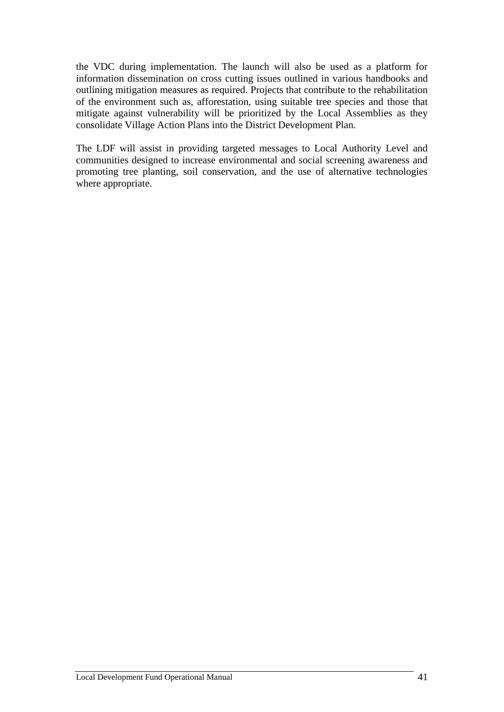the VDC during implementation. The launch will also be used as a platform for information dissemination on cross cutting issues outlined in various handbooks and outlining mitigation measures as required. Projects that contribute to the rehabilitation of the environment such as, afforestation, using suitable tree species and those that mitigate against vulnerability will be prioritized by the Local Assemblies as they consolidate Village Action Plans into the District Development Plan.

The LDF will assist in providing targeted messages to Local Authority Level and communities designed to increase environmental and social screening awareness and promoting tree planting, soil conservation, and the use of alternative technologies where appropriate.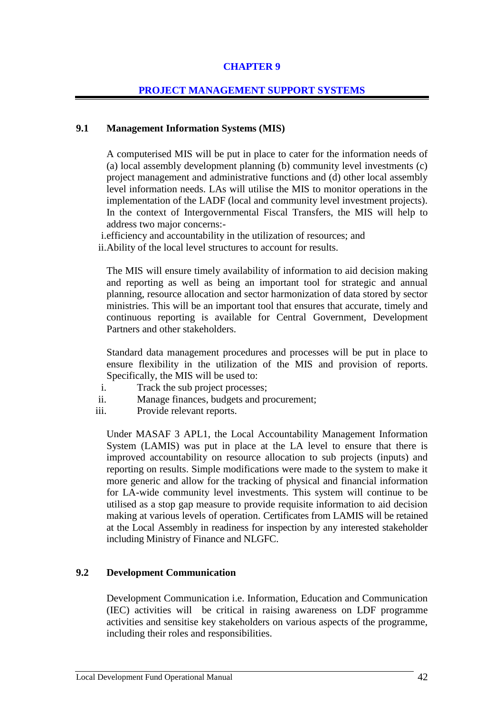# **CHAPTER 9**

#### **PROJECT MANAGEMENT SUPPORT SYSTEMS**

#### **9.1 Management Information Systems (MIS)**

A computerised MIS will be put in place to cater for the information needs of (a) local assembly development planning (b) community level investments (c) project management and administrative functions and (d) other local assembly level information needs. LAs will utilise the MIS to monitor operations in the implementation of the LADF (local and community level investment projects). In the context of Intergovernmental Fiscal Transfers, the MIS will help to address two major concerns:-

i.efficiency and accountability in the utilization of resources; and

ii.Ability of the local level structures to account for results.

The MIS will ensure timely availability of information to aid decision making and reporting as well as being an important tool for strategic and annual planning, resource allocation and sector harmonization of data stored by sector ministries. This will be an important tool that ensures that accurate, timely and continuous reporting is available for Central Government, Development Partners and other stakeholders.

Standard data management procedures and processes will be put in place to ensure flexibility in the utilization of the MIS and provision of reports. Specifically, the MIS will be used to:

- i. Track the sub project processes;
- ii. Manage finances, budgets and procurement;
- iii. Provide relevant reports.

Under MASAF 3 APL1, the Local Accountability Management Information System (LAMIS) was put in place at the LA level to ensure that there is improved accountability on resource allocation to sub projects (inputs) and reporting on results. Simple modifications were made to the system to make it more generic and allow for the tracking of physical and financial information for LA-wide community level investments. This system will continue to be utilised as a stop gap measure to provide requisite information to aid decision making at various levels of operation. Certificates from LAMIS will be retained at the Local Assembly in readiness for inspection by any interested stakeholder including Ministry of Finance and NLGFC.

# **9.2 Development Communication**

Development Communication i.e. Information, Education and Communication (IEC) activities will be critical in raising awareness on LDF programme activities and sensitise key stakeholders on various aspects of the programme, including their roles and responsibilities.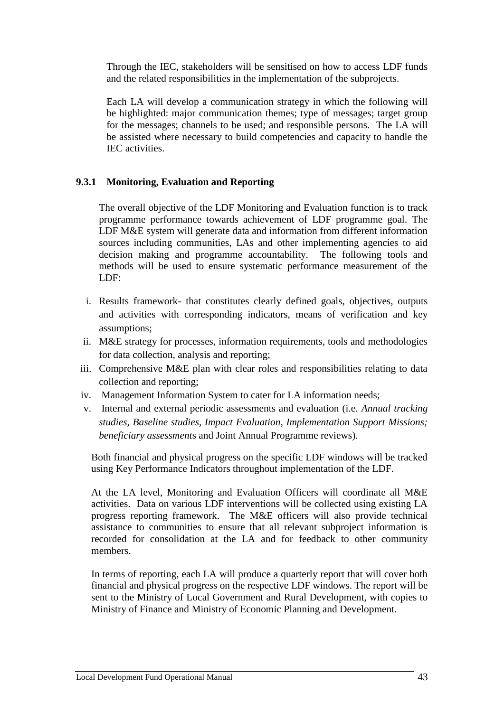Through the IEC, stakeholders will be sensitised on how to access LDF funds and the related responsibilities in the implementation of the subprojects.

Each LA will develop a communication strategy in which the following will be highlighted: major communication themes; type of messages; target group for the messages; channels to be used; and responsible persons. The LA will be assisted where necessary to build competencies and capacity to handle the IEC activities.

# **9.3.1 Monitoring, Evaluation and Reporting**

The overall objective of the LDF Monitoring and Evaluation function is to track programme performance towards achievement of LDF programme goal. The LDF M&E system will generate data and information from different information sources including communities, LAs and other implementing agencies to aid decision making and programme accountability. The following tools and methods will be used to ensure systematic performance measurement of the LDF:

- i. Results framework- that constitutes clearly defined goals, objectives, outputs and activities with corresponding indicators, means of verification and key assumptions;
- ii. M&E strategy for processes, information requirements, tools and methodologies for data collection, analysis and reporting;
- iii. Comprehensive M&E plan with clear roles and responsibilities relating to data collection and reporting;
- iv. Management Information System to cater for LA information needs;
- v. Internal and external periodic assessments and evaluation (i.e. *Annual tracking studies, Baseline studies, Impact Evaluation, Implementation Support Missions; beneficiary assessment*s and Joint Annual Programme reviews).

Both financial and physical progress on the specific LDF windows will be tracked using Key Performance Indicators throughout implementation of the LDF.

At the LA level, Monitoring and Evaluation Officers will coordinate all M&E activities. Data on various LDF interventions will be collected using existing LA progress reporting framework. The M&E officers will also provide technical assistance to communities to ensure that all relevant subproject information is recorded for consolidation at the LA and for feedback to other community members.

In terms of reporting, each LA will produce a quarterly report that will cover both financial and physical progress on the respective LDF windows. The report will be sent to the Ministry of Local Government and Rural Development, with copies to Ministry of Finance and Ministry of Economic Planning and Development.